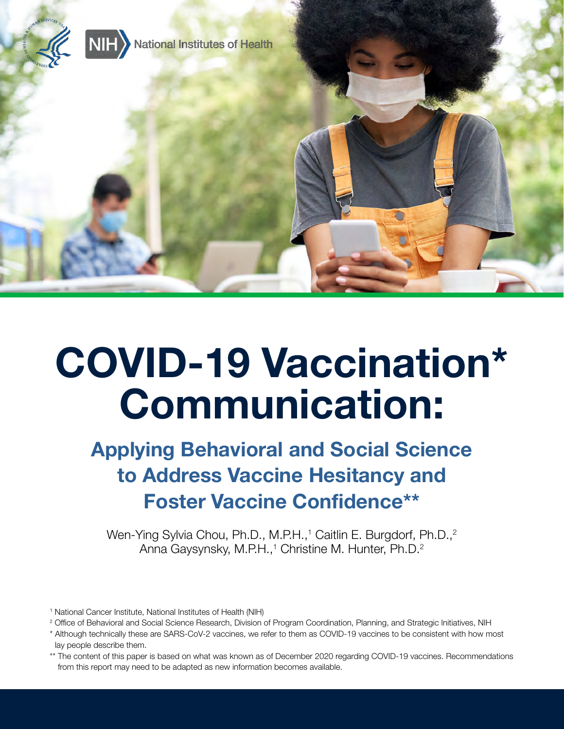

# COVID-19 Vaccination\* Communication:

## Applying Behavioral and Social Science to Address Vaccine Hesitancy and Foster Vaccine Confidence\*\*

Wen-Ying Sylvia Chou, Ph.D., M.P.H.,<sup>1</sup> Caitlin E. Burgdorf, Ph.D.,<sup>2</sup> Anna Gaysynsky, M.P.H.,<sup>1</sup> Christine M. Hunter, Ph.D.<sup>2</sup>

- <sup>1</sup> National Cancer Institute, National Institutes of Health (NIH)
- <sup>2</sup> Office of Behavioral and Social Science Research, Division of Program Coordination, Planning, and Strategic Initiatives, NIH
- \* Although technically these are SARS-CoV-2 vaccines, we refer to them as COVID-19 vaccines to be consistent with how most lay people describe them.
- \*\* The content of this paper is based on what was known as of December 2020 regarding COVID-19 vaccines. Recommendations from this report may need to be adapted as new information becomes available.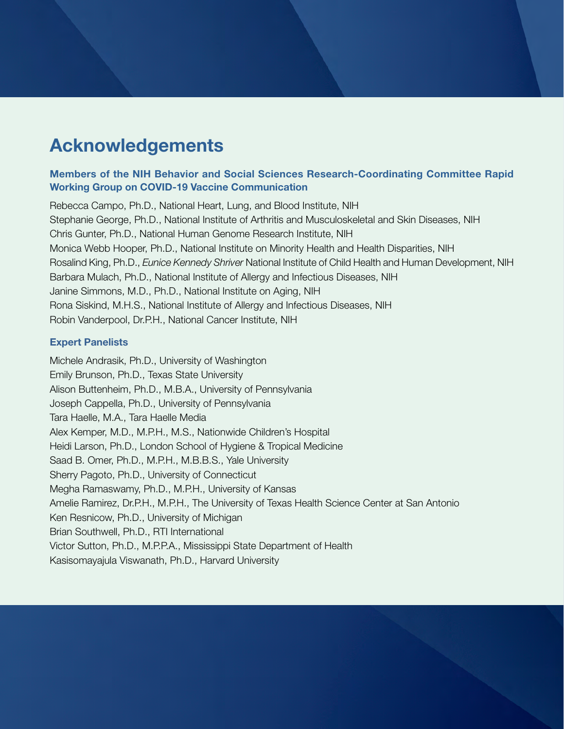## Acknowledgements

#### Members of the NIH Behavior and Social Sciences Research-Coordinating Committee Rapid Working Group on COVID-19 Vaccine Communication

Rebecca Campo, Ph.D., National Heart, Lung, and Blood Institute, NIH Stephanie George, Ph.D., National Institute of Arthritis and Musculoskeletal and Skin Diseases, NIH Chris Gunter, Ph.D., National Human Genome Research Institute, NIH Monica Webb Hooper, Ph.D., National Institute on Minority Health and Health Disparities, NIH Rosalind King, Ph.D., *Eunice Kennedy Shriver* National Institute of Child Health and Human Development, NIH Barbara Mulach, Ph.D., National Institute of Allergy and Infectious Diseases, NIH Janine Simmons, M.D., Ph.D., National Institute on Aging, NIH Rona Siskind, M.H.S., National Institute of Allergy and Infectious Diseases, NIH Robin Vanderpool, Dr.P.H., National Cancer Institute, NIH

#### Expert Panelists

Michele Andrasik, Ph.D., University of Washington Emily Brunson, Ph.D., Texas State University Alison Buttenheim, Ph.D., M.B.A., University of Pennsylvania Joseph Cappella, Ph.D., University of Pennsylvania Tara Haelle, M.A., Tara Haelle Media Alex Kemper, M.D., M.P.H., M.S., Nationwide Children's Hospital Heidi Larson, Ph.D., London School of Hygiene & Tropical Medicine Saad B. Omer, Ph.D., M.P.H., M.B.B.S., Yale University Sherry Pagoto, Ph.D., University of Connecticut Megha Ramaswamy, Ph.D., M.P.H., University of Kansas Amelie Ramirez, Dr.P.H., M.P.H., The University of Texas Health Science Center at San Antonio Ken Resnicow, Ph.D., University of Michigan Brian Southwell, Ph.D., RTI International Victor Sutton, Ph.D., M.P.P.A., Mississippi State Department of Health Kasisomayajula Viswanath, Ph.D., Harvard University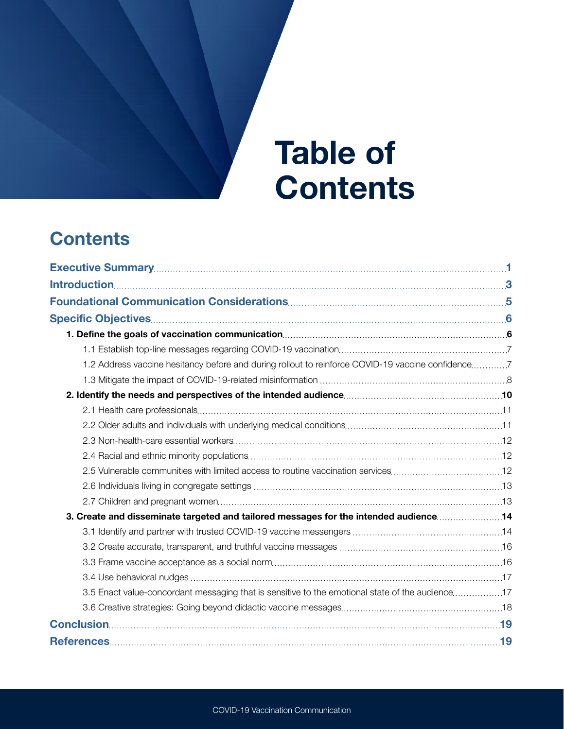# Table of **Contents**

## **Contents**

| 1.2 Address vaccine hesitancy before and during rollout to reinforce COVID-19 vaccine confidence7<br>3.5 Enact value-concordant messaging that is sensitive to the emotional state of the audience17 |  |
|------------------------------------------------------------------------------------------------------------------------------------------------------------------------------------------------------|--|
|                                                                                                                                                                                                      |  |
|                                                                                                                                                                                                      |  |
|                                                                                                                                                                                                      |  |
|                                                                                                                                                                                                      |  |
|                                                                                                                                                                                                      |  |
|                                                                                                                                                                                                      |  |
|                                                                                                                                                                                                      |  |
|                                                                                                                                                                                                      |  |
|                                                                                                                                                                                                      |  |
|                                                                                                                                                                                                      |  |
|                                                                                                                                                                                                      |  |
|                                                                                                                                                                                                      |  |
|                                                                                                                                                                                                      |  |
|                                                                                                                                                                                                      |  |
|                                                                                                                                                                                                      |  |
|                                                                                                                                                                                                      |  |
|                                                                                                                                                                                                      |  |
|                                                                                                                                                                                                      |  |
|                                                                                                                                                                                                      |  |
|                                                                                                                                                                                                      |  |
|                                                                                                                                                                                                      |  |
|                                                                                                                                                                                                      |  |
|                                                                                                                                                                                                      |  |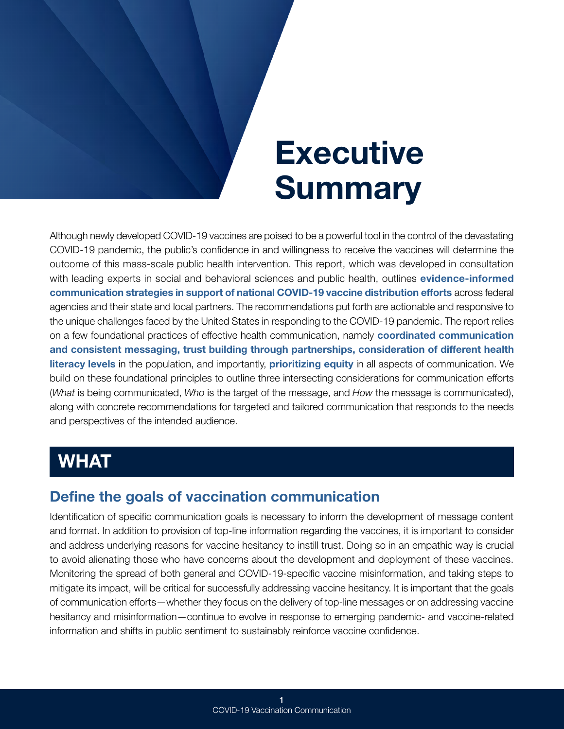# **Executive Summary**

<span id="page-3-0"></span>Although newly developed COVID-19 vaccines are poised to be a powerful tool in the control of the devastating COVID-19 pandemic, the public's confidence in and willingness to receive the vaccines will determine the outcome of this mass-scale public health intervention. This report, which was developed in consultation with leading experts in social and behavioral sciences and public health, outlines evidence-informed communication strategies in support of national COVID-19 vaccine distribution efforts across federal agencies and their state and local partners. The recommendations put forth are actionable and responsive to the unique challenges faced by the United States in responding to the COVID-19 pandemic. The report relies on a few foundational practices of effective health communication, namely **coordinated communication** and consistent messaging, trust building through partnerships, consideration of different health literacy levels in the population, and importantly, prioritizing equity in all aspects of communication. We build on these foundational principles to outline three intersecting considerations for communication efforts (*What* is being communicated, *Who* is the target of the message, and *How* the message is communicated), along with concrete recommendations for targeted and tailored communication that responds to the needs and perspectives of the intended audience.

## WHAT

### Define the goals of vaccination communication

Identification of specific communication goals is necessary to inform the development of message content and format. In addition to provision of top-line information regarding the vaccines, it is important to consider and address underlying reasons for vaccine hesitancy to instill trust. Doing so in an empathic way is crucial to avoid alienating those who have concerns about the development and deployment of these vaccines. Monitoring the spread of both general and COVID-19-specific vaccine misinformation, and taking steps to mitigate its impact, will be critical for successfully addressing vaccine hesitancy. It is important that the goals of communication efforts—whether they focus on the delivery of top-line messages or on addressing vaccine hesitancy and misinformation—continue to evolve in response to emerging pandemic- and vaccine-related information and shifts in public sentiment to sustainably reinforce vaccine confidence.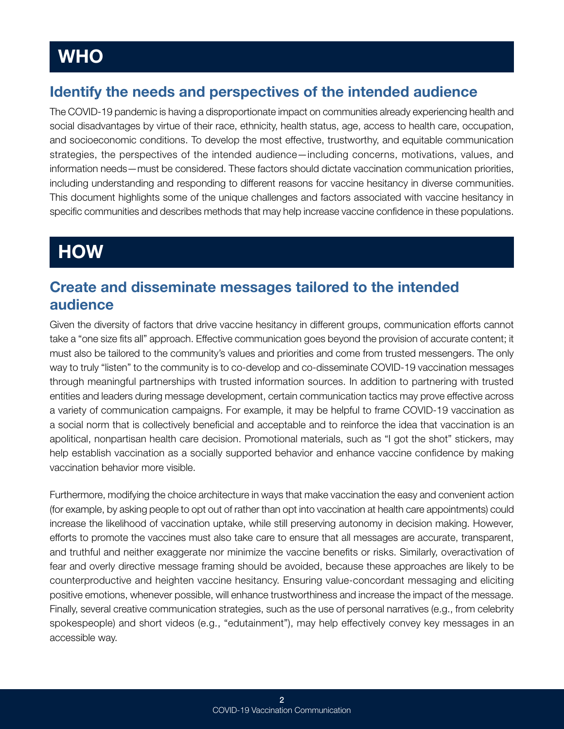### **WHO**

### Identify the needs and perspectives of the intended audience

The COVID-19 pandemic is having a disproportionate impact on communities already experiencing health and social disadvantages by virtue of their race, ethnicity, health status, age, access to health care, occupation, and socioeconomic conditions. To develop the most effective, trustworthy, and equitable communication strategies, the perspectives of the intended audience—including concerns, motivations, values, and information needs—must be considered. These factors should dictate vaccination communication priorities, including understanding and responding to different reasons for vaccine hesitancy in diverse communities. This document highlights some of the unique challenges and factors associated with vaccine hesitancy in specific communities and describes methods that may help increase vaccine confidence in these populations.

## **HOW**

#### Create and disseminate messages tailored to the intended audience

Given the diversity of factors that drive vaccine hesitancy in different groups, communication efforts cannot take a "one size fits all" approach. Effective communication goes beyond the provision of accurate content; it must also be tailored to the community's values and priorities and come from trusted messengers. The only way to truly "listen" to the community is to co-develop and co-disseminate COVID-19 vaccination messages through meaningful partnerships with trusted information sources. In addition to partnering with trusted entities and leaders during message development, certain communication tactics may prove effective across a variety of communication campaigns. For example, it may be helpful to frame COVID-19 vaccination as a social norm that is collectively beneficial and acceptable and to reinforce the idea that vaccination is an apolitical, nonpartisan health care decision. Promotional materials, such as "I got the shot" stickers, may help establish vaccination as a socially supported behavior and enhance vaccine confidence by making vaccination behavior more visible.

Furthermore, modifying the choice architecture in ways that make vaccination the easy and convenient action (for example, by asking people to opt out of rather than opt into vaccination at health care appointments) could increase the likelihood of vaccination uptake, while still preserving autonomy in decision making. However, efforts to promote the vaccines must also take care to ensure that all messages are accurate, transparent, and truthful and neither exaggerate nor minimize the vaccine benefits or risks. Similarly, overactivation of fear and overly directive message framing should be avoided, because these approaches are likely to be counterproductive and heighten vaccine hesitancy. Ensuring value-concordant messaging and eliciting positive emotions, whenever possible, will enhance trustworthiness and increase the impact of the message. Finally, several creative communication strategies, such as the use of personal narratives (e.g., from celebrity spokespeople) and short videos (e.g., "edutainment"), may help effectively convey key messages in an accessible way.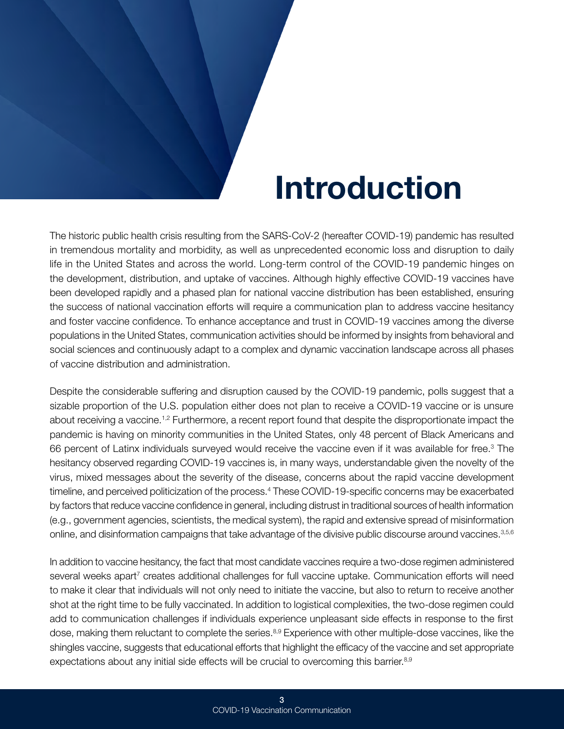## Introduction

<span id="page-5-0"></span>The historic public health crisis resulting from the SARS-CoV-2 (hereafter COVID-19) pandemic has resulted in tremendous mortality and morbidity, as well as unprecedented economic loss and disruption to daily life in the United States and across the world. Long-term control of the COVID-19 pandemic hinges on the development, distribution, and uptake of vaccines. Although highly effective COVID-19 vaccines have been developed rapidly and a phased plan for national vaccine distribution has been established, ensuring the success of national vaccination efforts will require a communication plan to address vaccine hesitancy and foster vaccine confidence. To enhance acceptance and trust in COVID-19 vaccines among the diverse populations in the United States, communication activities should be informed by insights from behavioral and social sciences and continuously adapt to a complex and dynamic vaccination landscape across all phases of vaccine distribution and administration.

Despite the considerable suffering and disruption caused by the COVID-19 pandemic, polls suggest that a sizable proportion of the U.S. population either does not plan to receive a COVID-19 vaccine or is unsure about receiving a vaccine.<sup>1,2</sup> Furthermore, a recent report found that despite the disproportionate impact the pandemic is having on minority communities in the United States, only 48 percent of Black Americans and 66 percent of Latinx individuals surveyed would receive the vaccine even if it was available for free.<sup>3</sup> The hesitancy observed regarding COVID-19 vaccines is, in many ways, understandable given the novelty of the virus, mixed messages about the severity of the disease, concerns about the rapid vaccine development timeline, and perceived politicization of the process.<sup>4</sup> These COVID-19-specific concerns may be exacerbated by factors that reduce vaccine confidence in general, including distrust in traditional sources of health information (e.g., government agencies, scientists, the medical system), the rapid and extensive spread of misinformation online, and disinformation campaigns that take advantage of the divisive public discourse around vaccines[.3,](#page-21-0)5,6

In addition to vaccine hesitancy, the fact that most candidate vaccines require a two-dose regimen administered several weeks apart<sup>7</sup> creates additional challenges for full vaccine uptake. Communication efforts will need to make it clear that individuals will not only need to initiate the vaccine, but also to return to receive another shot at the right time to be fully vaccinated. In addition to logistical complexities, the two-dose regimen could add to communication challenges if individuals experience unpleasant side effects in response to the first dose, making them reluctant to complete the series.<sup>8,9</sup> Experience with other multiple-dose vaccines, like the shingles vaccine, suggests that educational efforts that highlight the efficacy of the vaccine and set appropriate expectations about any initial side effects will be crucial to overcoming this barrier.<sup>8,9</sup>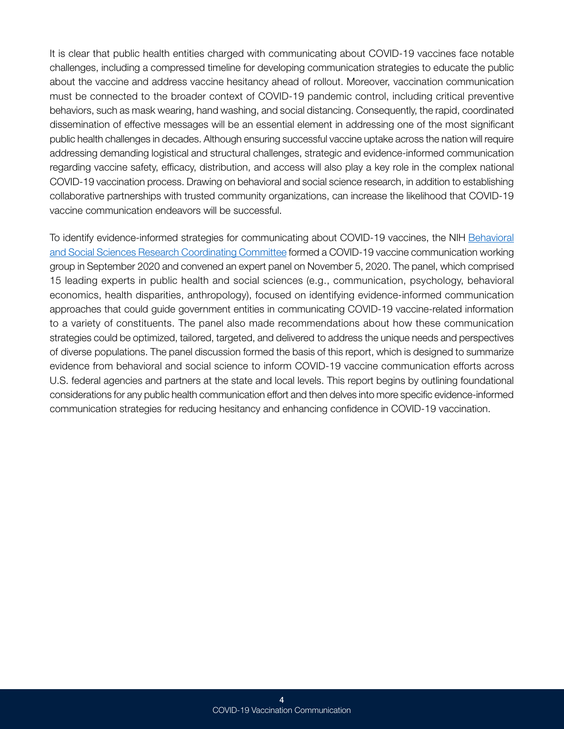It is clear that public health entities charged with communicating about COVID-19 vaccines face notable challenges, including a compressed timeline for developing communication strategies to educate the public about the vaccine and address vaccine hesitancy ahead of rollout. Moreover, vaccination communication must be connected to the broader context of COVID-19 pandemic control, including critical preventive behaviors, such as mask wearing, hand washing, and social distancing. Consequently, the rapid, coordinated dissemination of effective messages will be an essential element in addressing one of the most significant public health challenges in decades. Although ensuring successful vaccine uptake across the nation will require addressing demanding logistical and structural challenges, strategic and evidence-informed communication regarding vaccine safety, efficacy, distribution, and access will also play a key role in the complex national COVID-19 vaccination process. Drawing on behavioral and social science research, in addition to establishing collaborative partnerships with trusted community organizations, can increase the likelihood that COVID-19 vaccine communication endeavors will be successful.

To identify evidence-informed strategies for communicating about COVID-19 vaccines, the NIH [Behavioral](https://obssr.od.nih.gov/program-coordination/nih-behavioral-and-social-sciences-research-coordinating-committee/) [and Social Sciences Research Coordinating Committee](https://obssr.od.nih.gov/program-coordination/nih-behavioral-and-social-sciences-research-coordinating-committee/) formed a COVID-19 vaccine communication working group in September 2020 and convened an expert panel on November 5, 2020. The panel, which comprised 15 leading experts in public health and social sciences (e.g., communication, psychology, behavioral economics, health disparities, anthropology), focused on identifying evidence-informed communication approaches that could guide government entities in communicating COVID-19 vaccine-related information to a variety of constituents. The panel also made recommendations about how these communication strategies could be optimized, tailored, targeted, and delivered to address the unique needs and perspectives of diverse populations. The panel discussion formed the basis of this report, which is designed to summarize evidence from behavioral and social science to inform COVID-19 vaccine communication efforts across U.S. federal agencies and partners at the state and local levels. This report begins by outlining foundational considerations for any public health communication effort and then delves into more specific evidence-informed communication strategies for reducing hesitancy and enhancing confidence in COVID-19 vaccination.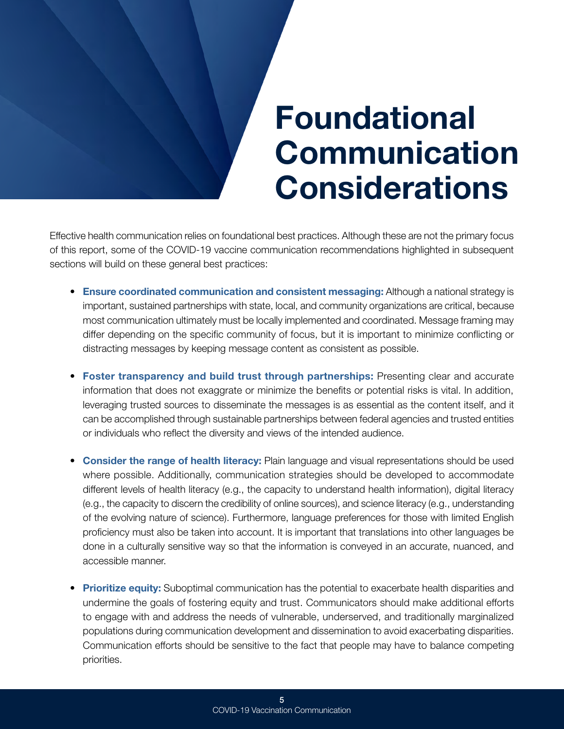# Foundational Communication Considerations

<span id="page-7-0"></span>Effective health communication relies on foundational best practices. Although these are not the primary focus of this report, some of the COVID-19 vaccine communication recommendations highlighted in subsequent sections will build on these general best practices:

- Ensure coordinated communication and consistent messaging: Although a national strategy is important, sustained partnerships with state, local, and community organizations are critical, because most communication ultimately must be locally implemented and coordinated. Message framing may differ depending on the specific community of focus, but it is important to minimize conflicting or distracting messages by keeping message content as consistent as possible.
- Foster transparency and build trust through partnerships: Presenting clear and accurate information that does not exaggrate or minimize the benefits or potential risks is vital. In addition, leveraging trusted sources to disseminate the messages is as essential as the content itself, and it can be accomplished through sustainable partnerships between federal agencies and trusted entities or individuals who reflect the diversity and views of the intended audience.
- Consider the range of health literacy: Plain language and visual representations should be used where possible. Additionally, communication strategies should be developed to accommodate different levels of health literacy (e.g., the capacity to understand health information), digital literacy (e.g., the capacity to discern the credibility of online sources), and science literacy (e.g., understanding of the evolving nature of science). Furthermore, language preferences for those with limited English proficiency must also be taken into account. It is important that translations into other languages be done in a culturally sensitive way so that the information is conveyed in an accurate, nuanced, and accessible manner.
- Prioritize equity: Suboptimal communication has the potential to exacerbate health disparities and undermine the goals of fostering equity and trust. Communicators should make additional efforts to engage with and address the needs of vulnerable, underserved, and traditionally marginalized populations during communication development and dissemination to avoid exacerbating disparities. Communication efforts should be sensitive to the fact that people may have to balance competing priorities.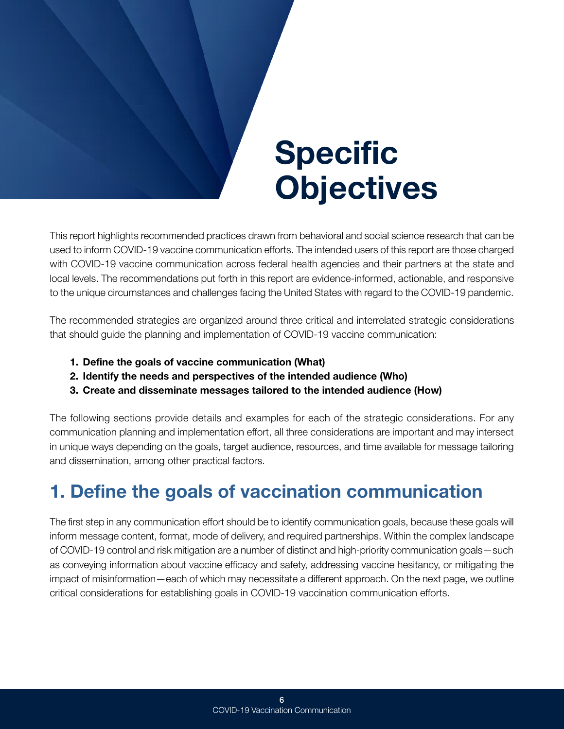# Specific **Objectives**

<span id="page-8-0"></span>This report highlights recommended practices drawn from behavioral and social science research that can be used to inform COVID-19 vaccine communication efforts. The intended users of this report are those charged with COVID-19 vaccine communication across federal health agencies and their partners at the state and local levels. The recommendations put forth in this report are evidence-informed, actionable, and responsive to the unique circumstances and challenges facing the United States with regard to the COVID-19 pandemic.

The recommended strategies are organized around three critical and interrelated strategic considerations that should guide the planning and implementation of COVID-19 vaccine communication:

- 1. Define the goals of vaccine communication (What)
- 2. Identify the needs and perspectives of the intended audience (Who)
- 3. Create and disseminate messages tailored to the intended audience (How)

The following sections provide details and examples for each of the strategic considerations. For any communication planning and implementation effort, all three considerations are important and may intersect in unique ways depending on the goals, target audience, resources, and time available for message tailoring and dissemination, among other practical factors.

## 1. Define the goals of vaccination communication

The first step in any communication effort should be to identify communication goals, because these goals will inform message content, format, mode of delivery, and required partnerships. Within the complex landscape of COVID-19 control and risk mitigation are a number of distinct and high-priority communication goals—such as conveying information about vaccine efficacy and safety, addressing vaccine hesitancy, or mitigating the impact of misinformation—each of which may necessitate a different approach. On the next page, we outline critical considerations for establishing goals in COVID-19 vaccination communication efforts.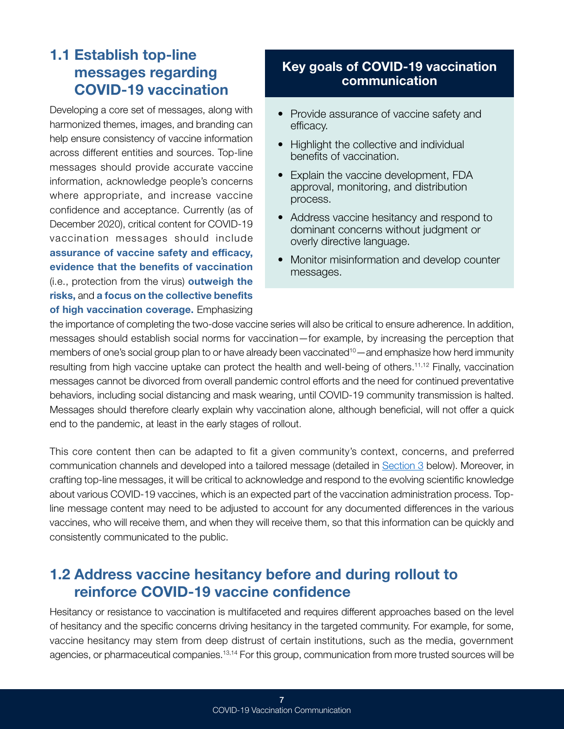#### <span id="page-9-0"></span>1.1 Establish top-line messages regarding COVID-19 vaccination

Developing a core set of messages, along with harmonized themes, images, and branding can help ensure consistency of vaccine information across different entities and sources. Top-line messages should provide accurate vaccine information, acknowledge people's concerns where appropriate, and increase vaccine confidence and acceptance. Currently (as of December 2020), critical content for COVID-19 vaccination messages should include assurance of vaccine safety and efficacy, evidence that the benefits of vaccination (i.e., protection from the virus) outweigh the risks, and a focus on the collective benefits of high vaccination coverage. Emphasizing

#### Key goals of COVID-19 vaccination communication

- Provide assurance of vaccine safety and efficacy.
- Highlight the collective and individual benefits of vaccination.
- Explain the vaccine development, FDA approval, monitoring, and distribution process.
- Address vaccine hesitancy and respond to dominant concerns without judgment or overly directive language.
- Monitor misinformation and develop counter messages.

the importance of completing the two-dose vaccine series will also be critical to ensure adherence. In addition, messages should establish social norms for vaccination—for example, by increasing the perception that members of one's social group plan to or have already been vaccinated<sup>10</sup>—and emphasize how herd immunity resulting from high vaccine uptake can protect the health and well-being of others.<sup>11,12</sup> Finally, vaccination messages cannot be divorced from overall pandemic control efforts and the need for continued preventative behaviors, including social distancing and mask wearing, until COVID-19 community transmission is halted. Messages should therefore clearly explain why vaccination alone, although beneficial, will not offer a quick end to the pandemic, at least in the early stages of rollout.

This core content then can be adapted to fit a given community's context, concerns, and preferred communication channels and developed into a tailored message (detailed in [Section 3](#page-16-1) below). Moreover, in crafting top-line messages, it will be critical to acknowledge and respond to the evolving scientific knowledge about various COVID-19 vaccines, which is an expected part of the vaccination administration process. Topline message content may need to be adjusted to account for any documented differences in the various vaccines, who will receive them, and when they will receive them, so that this information can be quickly and consistently communicated to the public.

#### 1.2 Address vaccine hesitancy before and during rollout to reinforce COVID-19 vaccine confidence

Hesitancy or resistance to vaccination is multifaceted and requires different approaches based on the level of hesitancy and the specific concerns driving hesitancy in the targeted community. For example, for some, vaccine hesitancy may stem from deep distrust of certain institutions, such as the media, government agencies, or pharmaceutical companies.<sup>13,14</sup> For this group, communication from more trusted sources will be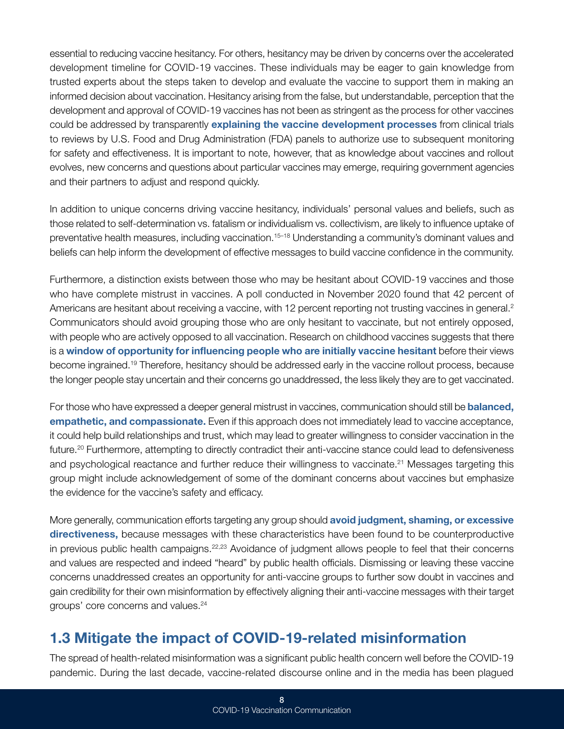<span id="page-10-0"></span>essential to reducing vaccine hesitancy. For others, hesitancy may be driven by concerns over the accelerated development timeline for COVID-19 vaccines. These individuals may be eager to gain knowledge from trusted experts about the steps taken to develop and evaluate the vaccine to support them in making an informed decision about vaccination. Hesitancy arising from the false, but understandable, perception that the development and approval of COVID-19 vaccines has not been as stringent as the process for other vaccines could be addressed by transparently explaining the vaccine development processes from clinical trials to reviews by U.S. Food and Drug Administration (FDA) panels to authorize use to subsequent monitoring for safety and effectiveness. It is important to note, however, that as knowledge about vaccines and rollout evolves, new concerns and questions about particular vaccines may emerge, requiring government agencies and their partners to adjust and respond quickly.

In addition to unique concerns driving vaccine hesitancy, individuals' personal values and beliefs, such as those related to self-determination vs. fatalism or individualism vs. collectivism, are likely to influence uptake of preventative health measures, including vaccination.<sup>15–18</sup> Understanding a community's dominant values and beliefs can help inform the development of effective messages to build vaccine confidence in the community.

Furthermore, a distinction exists between those who may be hesitant about COVID-19 vaccines and those who have complete mistrust in vaccines. A poll conducted in November 2020 found that 42 percent of Americans are hesitant about receiving a vaccine, with 12 percent reporting not trusting vaccines in general.<sup>2</sup> Communicators should avoid grouping those who are only hesitant to vaccinate, but not entirely opposed, with people who are actively opposed to all vaccination. Research on childhood vaccines suggests that there is a window of opportunity for influencing people who are initially vaccine hesitant before their views become ingrained.19 Therefore, hesitancy should be addressed early in the vaccine rollout process, because the longer people stay uncertain and their concerns go unaddressed, the less likely they are to get vaccinated.

For those who have expressed a deeper general mistrust in vaccines, communication should still be **balanced**, empathetic, and compassionate. Even if this approach does not immediately lead to vaccine acceptance, it could help build relationships and trust, which may lead to greater willingness to consider vaccination in the future.20 Furthermore, attempting to directly contradict their anti-vaccine stance could lead to defensiveness and psychological reactance and further reduce their willingness to vaccinate.21 Messages targeting this group might include acknowledgement of some of the dominant concerns about vaccines but emphasize the evidence for the vaccine's safety and efficacy.

More generally, communication efforts targeting any group should avoid judgment, shaming, or excessive directiveness, because messages with these characteristics have been found to be counterproductive in previous public health campaigns.<sup>22,23</sup> Avoidance of judgment allows people to feel that their concerns and values are respected and indeed "heard" by public health officials. Dismissing or leaving these vaccine concerns unaddressed creates an opportunity for anti-vaccine groups to further sow doubt in vaccines and gain credibility for their own misinformation by effectively aligning their anti-vaccine messages with their target groups' core concerns and values.24

### 1.3 Mitigate the impact of COVID-19-related misinformation

The spread of health-related misinformation was a significant public health concern well before the COVID-19 pandemic. During the last decade, vaccine-related discourse online and in the media has been plagued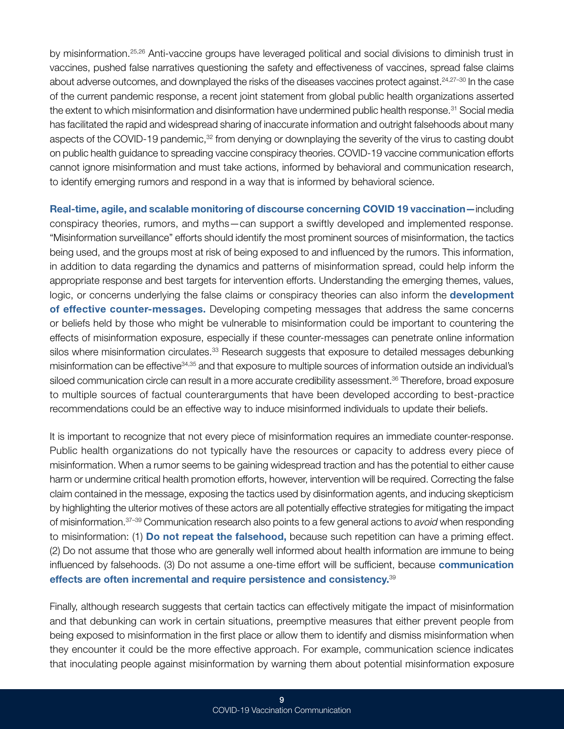by misinformation.25,26 Anti-vaccine groups have leveraged political and social divisions to diminish trust in vaccines, pushed false narratives questioning the safety and effectiveness of vaccines, spread false claims about adverse outcomes, and downplayed the risks of the diseases vaccines protect against.<sup>24,27–30</sup> In the case of the current pandemic response, a recent joint statement from global public health organizations asserted the extent to which misinformation and disinformation have undermined public health response.<sup>31</sup> Social media has facilitated the rapid and widespread sharing of inaccurate information and outright falsehoods about many aspects of the COVID-19 pandemic,<sup>32</sup> from denying or downplaying the severity of the virus to casting doubt on public health guidance to spreading vaccine conspiracy theories. COVID-19 vaccine communication efforts cannot ignore misinformation and must take actions, informed by behavioral and communication research, to identify emerging rumors and respond in a way that is informed by behavioral science.

Real-time, agile, and scalable monitoring of discourse concerning COVID 19 vaccination—including conspiracy theories, rumors, and myths—can support a swiftly developed and implemented response. "Misinformation surveillance" efforts should identify the most prominent sources of misinformation, the tactics being used, and the groups most at risk of being exposed to and influenced by the rumors. This information, in addition to data regarding the dynamics and patterns of misinformation spread, could help inform the appropriate response and best targets for intervention efforts. Understanding the emerging themes, values, logic, or concerns underlying the false claims or conspiracy theories can also inform the **development** of effective counter-messages. Developing competing messages that address the same concerns or beliefs held by those who might be vulnerable to misinformation could be important to countering the effects of misinformation exposure, especially if these counter-messages can penetrate online information silos where misinformation circulates.<sup>33</sup> Research suggests that exposure to detailed messages debunking misinformation can be effective34,35 and that exposure to multiple sources of information outside an individual's siloed communication circle can result in a more accurate credibility assessment.<sup>36</sup> Therefore, broad exposure to multiple sources of factual counterarguments that have been developed according to best-practice recommendations could be an effective way to induce misinformed individuals to update their beliefs.

It is important to recognize that not every piece of misinformation requires an immediate counter-response. Public health organizations do not typically have the resources or capacity to address every piece of misinformation. When a rumor seems to be gaining widespread traction and has the potential to either cause harm or undermine critical health promotion efforts, however, intervention will be required. Correcting the false claim contained in the message, exposing the tactics used by disinformation agents, and inducing skepticism by highlighting the ulterior motives of these actors are all potentially effective strategies for mitigating the impact of misinformation.37–39 Communication research also points to a few general actions to *avoid* when responding to misinformation: (1) Do not repeat the falsehood, because such repetition can have a priming effect. (2) Do not assume that those who are generally well informed about health information are immune to being influenced by falsehoods. (3) Do not assume a one-time effort will be sufficient, because communication effects are often incremental and require persistence and consistency.<sup>39</sup>

Finally, although research suggests that certain tactics can effectively mitigate the impact of misinformation and that debunking can work in certain situations, preemptive measures that either prevent people from being exposed to misinformation in the first place or allow them to identify and dismiss misinformation when they encounter it could be the more effective approach. For example, communication science indicates that inoculating people against misinformation by warning them about potential misinformation exposure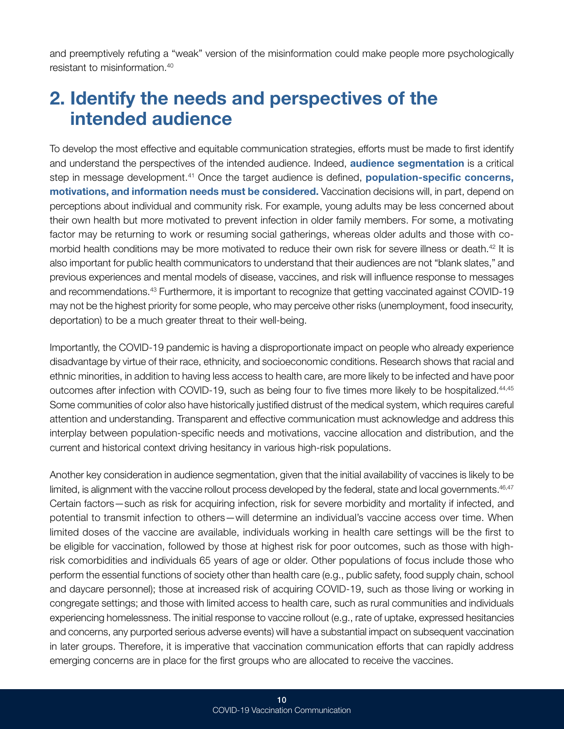<span id="page-12-0"></span>and preemptively refuting a "weak" version of the misinformation could make people more psychologically resistant to misinformation.40

### 2. Identify the needs and perspectives of the intended audience

To develop the most effective and equitable communication strategies, efforts must be made to first identify and understand the perspectives of the intended audience. Indeed, **audience segmentation** is a critical step in message development.<sup>41</sup> Once the target audience is defined, **population-specific concerns,** motivations, and information needs must be considered. Vaccination decisions will, in part, depend on perceptions about individual and community risk. For example, young adults may be less concerned about their own health but more motivated to prevent infection in older family members. For some, a motivating factor may be returning to work or resuming social gatherings, whereas older adults and those with comorbid health conditions may be more motivated to reduce their own risk for severe illness or death.<sup>42</sup> It is also important for public health communicators to understand that their audiences are not "blank slates," and previous experiences and mental models of disease, vaccines, and risk will influence response to messages and recommendations.43 Furthermore, it is important to recognize that getting vaccinated against COVID-19 may not be the highest priority for some people, who may perceive other risks (unemployment, food insecurity, deportation) to be a much greater threat to their well-being.

Importantly, the COVID-19 pandemic is having a disproportionate impact on people who already experience disadvantage by virtue of their race, ethnicity, and socioeconomic conditions. Research shows that racial and ethnic minorities, in addition to having less access to health care, are more likely to be infected and have poor outcomes after infection with COVID-19, such as being four to five times more likely to be hospitalized.<sup>44,45</sup> Some communities of color also have historically justified distrust of the medical system, which requires careful attention and understanding. Transparent and effective communication must acknowledge and address this interplay between population-specific needs and motivations, vaccine allocation and distribution, and the current and historical context driving hesitancy in various high-risk populations.

Another key consideration in audience segmentation, given that the initial availability of vaccines is likely to be limited, is alignment with the vaccine rollout process developed by the federal, state and local governments.<sup>46,47</sup> Certain factors—such as risk for acquiring infection, risk for severe morbidity and mortality if infected, and potential to transmit infection to others—will determine an individual's vaccine access over time. When limited doses of the vaccine are available, individuals working in health care settings will be the first to be eligible for vaccination, followed by those at highest risk for poor outcomes, such as those with highrisk comorbidities and individuals 65 years of age or older. Other populations of focus include those who perform the essential functions of society other than health care (e.g., public safety, food supply chain, school and daycare personnel); those at increased risk of acquiring COVID-19, such as those living or working in congregate settings; and those with limited access to health care, such as rural communities and individuals experiencing homelessness. The initial response to vaccine rollout (e.g., rate of uptake, expressed hesitancies and concerns, any purported serious adverse events) will have a substantial impact on subsequent vaccination in later groups. Therefore, it is imperative that vaccination communication efforts that can rapidly address emerging concerns are in place for the first groups who are allocated to receive the vaccines.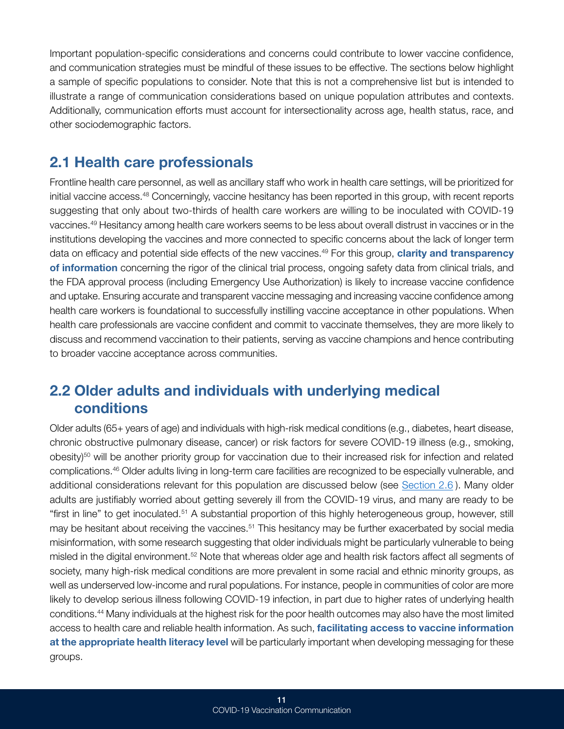<span id="page-13-0"></span>Important population-specific considerations and concerns could contribute to lower vaccine confidence, and communication strategies must be mindful of these issues to be effective. The sections below highlight a sample of specific populations to consider. Note that this is not a comprehensive list but is intended to illustrate a range of communication considerations based on unique population attributes and contexts. Additionally, communication efforts must account for intersectionality across age, health status, race, and other sociodemographic factors.

#### 2.1 Health care professionals

Frontline health care personnel, as well as ancillary staff who work in health care settings, will be prioritized for initial vaccine access.48 Concerningly, vaccine hesitancy has been reported in this group, with recent reports suggesting that only about two-thirds of health care workers are willing to be inoculated with COVID-19 vaccines.49 Hesitancy among health care workers seems to be less about overall distrust in vaccines or in the institutions developing the vaccines and more connected to specific concerns about the lack of longer term data on efficacy and potential side effects of the new vaccines.<sup>49</sup> For this group, **clarity and transparency** of information concerning the rigor of the clinical trial process, ongoing safety data from clinical trials, and the FDA approval process (including Emergency Use Authorization) is likely to increase vaccine confidence and uptake. Ensuring accurate and transparent vaccine messaging and increasing vaccine confidence among health care workers is foundational to successfully instilling vaccine acceptance in other populations. When health care professionals are vaccine confident and commit to vaccinate themselves, they are more likely to discuss and recommend vaccination to their patients, serving as vaccine champions and hence contributing to broader vaccine acceptance across communities.

### 2.2 Older adults and individuals with underlying medical conditions

Older adults (65+ years of age) and individuals with high-risk medical conditions (e.g., diabetes, heart disease, chronic obstructive pulmonary disease, cancer) or risk factors for severe COVID-19 illness (e.g., smoking,  $\Delta$ obesity)<sup>50</sup> will be another priority group for vaccination due to their increased risk for infection and related complications.46 Older adults living in long-term care facilities are recognized to be especially vulnerable, and additional considerations relevant for this population are discussed below (see [Section 2.6](#page-15-1)). Many older adults are justifiably worried about getting severely ill from the COVID-19 virus, and many are ready to be "first in line" to get inoculated.<sup>51</sup> A substantial proportion of this highly heterogeneous group, however, still may be hesitant about receiving the vaccines.<sup>51</sup> This hesitancy may be further exacerbated by social media misinformation, with some research suggesting that older individuals might be particularly vulnerable to being misled in the digital environment.<sup>52</sup> Note that whereas older age and health risk factors affect all segments of society, many high-risk medical conditions are more prevalent in some racial and ethnic minority groups, as well as underserved low-income and rural populations. For instance, people in communities of color are more likely to develop serious illness following COVID-19 infection, in part due to higher rates of underlying health conditions.44 Many individuals at the highest risk for the poor health outcomes may also have the most limited access to health care and reliable health information. As such, facilitating access to vaccine information at the appropriate health literacy level will be particularly important when developing messaging for these groups.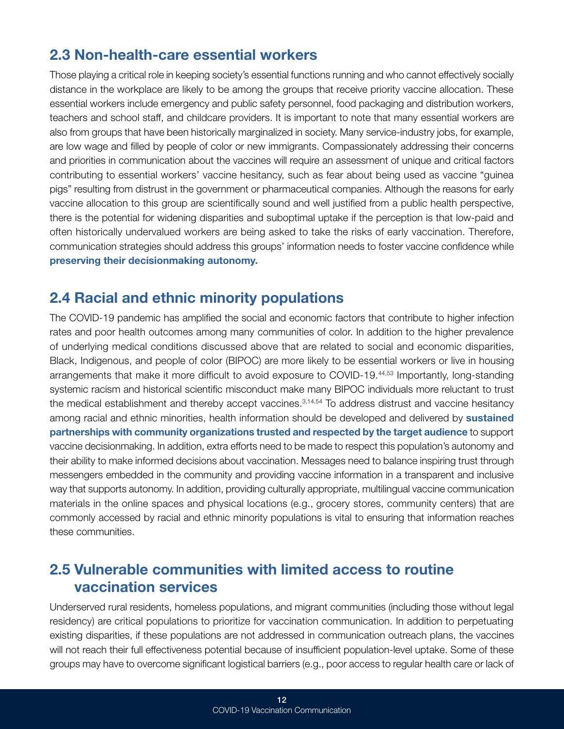#### <span id="page-14-0"></span>2.3 Non-health-care essential workers

Those playing a critical role in keeping society's essential functions running and who cannot effectively socially distance in the workplace are likely to be among the groups that receive priority vaccine allocation. These essential workers include emergency and public safety personnel, food packaging and distribution workers, teachers and school staff, and childcare providers. It is important to note that many essential workers are also from groups that have been historically marginalized in society. Many service-industry jobs, for example, are low wage and filled by people of color or new immigrants. Compassionately addressing their concerns and priorities in communication about the vaccines will require an assessment of unique and critical factors contributing to essential workers' vaccine hesitancy, such as fear about being used as vaccine "guinea pigs" resulting from distrust in the government or pharmaceutical companies. Although the reasons for early vaccine allocation to this group are scientifically sound and well justified from a public health perspective, there is the potential for widening disparities and suboptimal uptake if the perception is that low-paid and often historically undervalued workers are being asked to take the risks of early vaccination. Therefore, communication strategies should address this groups' information needs to foster vaccine confidence while preserving their decisionmaking autonomy.

#### 2.4 Racial and ethnic minority populations

The COVID-19 pandemic has amplified the social and economic factors that contribute to higher infection rates and poor health outcomes among many communities of color. In addition to the higher prevalence of underlying medical conditions discussed above that are related to social and economic disparities, Black, Indigenous, and people of color (BIPOC) are more likely to be essential workers or live in housing arrangements that make it more difficult to avoid exposure to COVID-19.<sup>44,53</sup> Importantly, long-standing systemic racism and historical scientific misconduct make many BIPOC individuals more reluctant to trust the medical establishment and thereby accept vaccines.3,14,54 To address distrust and vaccine hesitancy among racial and ethnic minorities, health information should be developed and delivered by sustained partnerships with community organizations trusted and respected by the target audience to support vaccine decisionmaking. In addition, extra efforts need to be made to respect this population's autonomy and their ability to make informed decisions about vaccination. Messages need to balance inspiring trust through messengers embedded in the community and providing vaccine information in a transparent and inclusive way that supports autonomy. In addition, providing culturally appropriate, multilingual vaccine communication materials in the online spaces and physical locations (e.g., grocery stores, community centers) that are commonly accessed by racial and ethnic minority populations is vital to ensuring that information reaches these communities.

#### 2.5 Vulnerable communities with limited access to routine vaccination services

Underserved rural residents, homeless populations, and migrant communities (including those without legal residency) are critical populations to prioritize for vaccination communication. In addition to perpetuating existing disparities, if these populations are not addressed in communication outreach plans, the vaccines will not reach their full effectiveness potential because of insufficient population-level uptake. Some of these groups may have to overcome significant logistical barriers (e.g., poor access to regular health care or lack of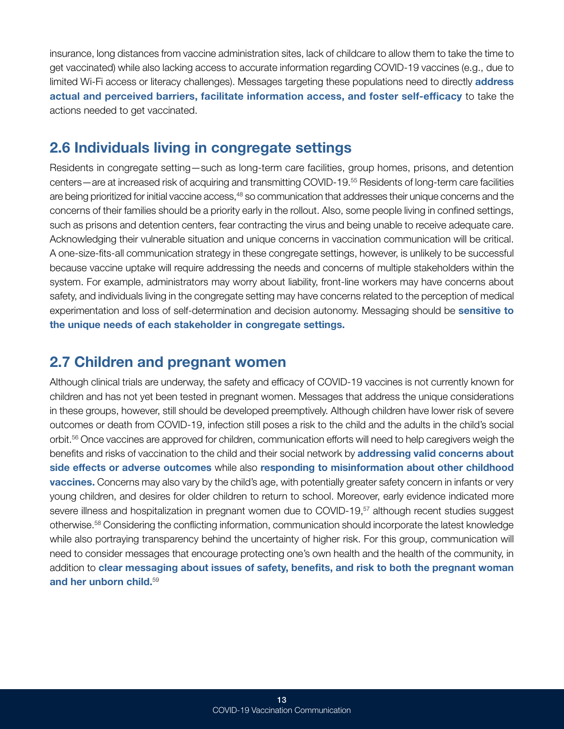<span id="page-15-0"></span>insurance, long distances from vaccine administration sites, lack of childcare to allow them to take the time to get vaccinated) while also lacking access to accurate information regarding COVID-19 vaccines (e.g., due to limited Wi-Fi access or literacy challenges). Messages targeting these populations need to directly **address** actual and perceived barriers, facilitate information access, and foster self-efficacy to take the actions needed to get vaccinated.

#### <span id="page-15-1"></span>2.6 Individuals living in congregate settings

Residents in congregate setting—such as long-term care facilities, group homes, prisons, and detention centers—are at increased risk of acquiring and transmitting COVID-19.55 Residents of long-term care facilities are being prioritized for initial vaccine access,<sup>48</sup> so communication that addresses their unique concerns and the concerns of their families should be a priority early in the rollout. Also, some people living in confined settings, such as prisons and detention centers, fear contracting the virus and being unable to receive adequate care. Acknowledging their vulnerable situation and unique concerns in vaccination communication will be critical. A one-size-fits-all communication strategy in these congregate settings, however, is unlikely to be successful because vaccine uptake will require addressing the needs and concerns of multiple stakeholders within the system. For example, administrators may worry about liability, front-line workers may have concerns about safety, and individuals living in the congregate setting may have concerns related to the perception of medical experimentation and loss of self-determination and decision autonomy. Messaging should be **sensitive to** the unique needs of each stakeholder in congregate settings.

#### 2.7 Children and pregnant women

Although clinical trials are underway, the safety and efficacy of COVID-19 vaccines is not currently known for children and has not yet been tested in pregnant women. Messages that address the unique considerations in these groups, however, still should be developed preemptively. Although children have lower risk of severe outcomes or death from COVID-19, infection still poses a risk to the child and the adults in the child's social orbit.56 Once vaccines are approved for children, communication efforts will need to help caregivers weigh the benefits and risks of vaccination to the child and their social network by addressing valid concerns about side effects or adverse outcomes while also responding to misinformation about other childhood vaccines. Concerns may also vary by the child's age, with potentially greater safety concern in infants or very young children, and desires for older children to return to school. Moreover, early evidence indicated more severe illness and hospitalization in pregnant women due to COVID-19,<sup>57</sup> although recent studies suggest otherwise.58 Considering the conflicting information, communication should incorporate the latest knowledge while also portraying transparency behind the uncertainty of higher risk. For this group, communication will need to consider messages that encourage protecting one's own health and the health of the community, in addition to clear messaging about issues of safety, benefits, and risk to both the pregnant woman and her unborn child.59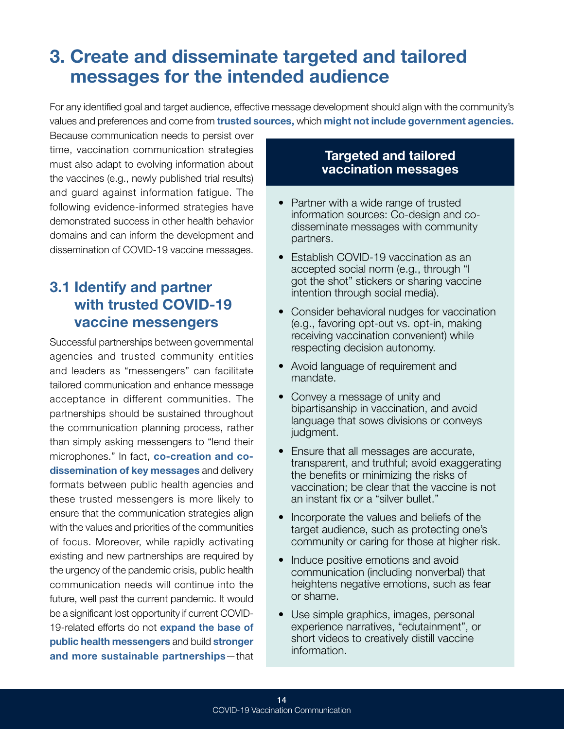## <span id="page-16-1"></span><span id="page-16-0"></span>3. Create and disseminate targeted and tailored messages for the intended audience

For any identified goal and target audience, effective message development should align with the community's values and preferences and come from trusted sources, which might not include government agencies.

Because communication needs to persist over time, vaccination communication strategies must also adapt to evolving information about the vaccines (e.g., newly published trial results) and guard against information fatigue. The following evidence-informed strategies have demonstrated success in other health behavior domains and can inform the development and dissemination of COVID-19 vaccine messages.

### 3.1 Identify and partner with trusted COVID-19 vaccine messengers

Successful partnerships between governmental agencies and trusted community entities and leaders as "messengers" can facilitate tailored communication and enhance message acceptance in different communities. The partnerships should be sustained throughout the communication planning process, rather than simply asking messengers to "lend their microphones." In fact, co-creation and codissemination of key messages and delivery formats between public health agencies and these trusted messengers is more likely to ensure that the communication strategies align with the values and priorities of the communities of focus. Moreover, while rapidly activating existing and new partnerships are required by the urgency of the pandemic crisis, public health communication needs will continue into the future, well past the current pandemic. It would be a significant lost opportunity if current COVID-19-related efforts do not expand the base of public health messengers and build stronger and more sustainable partnerships—that

#### Targeted and tailored vaccination messages

- Partner with a wide range of trusted information sources: Co-design and codisseminate messages with community partners.
- Establish COVID-19 vaccination as an accepted social norm (e.g., through "I got the shot" stickers or sharing vaccine intention through social media).
- Consider behavioral nudges for vaccination (e.g., favoring opt-out vs. opt-in, making receiving vaccination convenient) while respecting decision autonomy.
- Avoid language of requirement and mandate.
- Convey a message of unity and bipartisanship in vaccination, and avoid language that sows divisions or conveys judgment.
- Ensure that all messages are accurate, transparent, and truthful; avoid exaggerating the benefits or minimizing the risks of vaccination; be clear that the vaccine is not an instant fix or a "silver bullet."
- Incorporate the values and beliefs of the target audience, such as protecting one's community or caring for those at higher risk.
- Induce positive emotions and avoid communication (including nonverbal) that heightens negative emotions, such as fear or shame.
- Use simple graphics, images, personal experience narratives, "edutainment", or short videos to creatively distill vaccine information.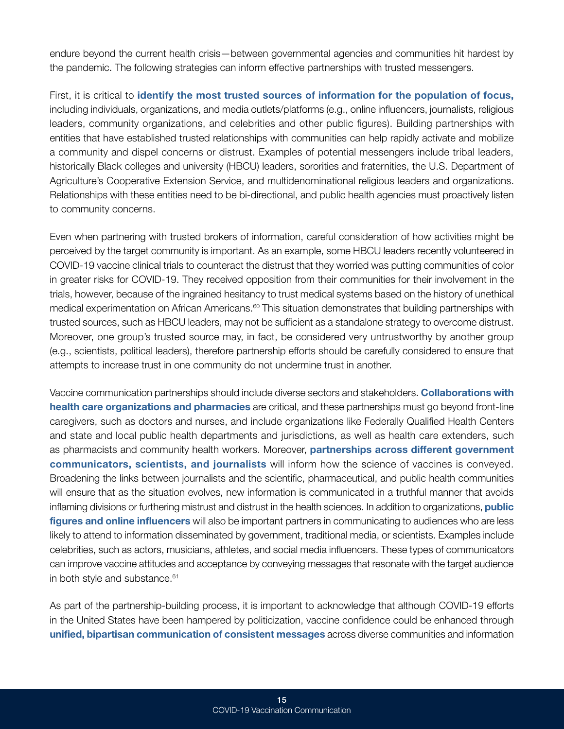endure beyond the current health crisis—between governmental agencies and communities hit hardest by the pandemic. The following strategies can inform effective partnerships with trusted messengers.

First, it is critical to identify the most trusted sources of information for the population of focus, including individuals, organizations, and media outlets/platforms (e.g., online influencers, journalists, religious leaders, community organizations, and celebrities and other public figures). Building partnerships with entities that have established trusted relationships with communities can help rapidly activate and mobilize a community and dispel concerns or distrust. Examples of potential messengers include tribal leaders, historically Black colleges and university (HBCU) leaders, sororities and fraternities, the U.S. Department of Agriculture's Cooperative Extension Service, and multidenominational religious leaders and organizations. Relationships with these entities need to be bi-directional, and public health agencies must proactively listen to community concerns.

Even when partnering with trusted brokers of information, careful consideration of how activities might be perceived by the target community is important. As an example, some HBCU leaders recently volunteered in COVID-19 vaccine clinical trials to counteract the distrust that they worried was putting communities of color in greater risks for COVID-19. They received opposition from their communities for their involvement in the trials, however, because of the ingrained hesitancy to trust medical systems based on the history of unethical medical experimentation on African Americans.<sup>60</sup> This situation demonstrates that building partnerships with trusted sources, such as HBCU leaders, may not be sufficient as a standalone strategy to overcome distrust. Moreover, one group's trusted source may, in fact, be considered very untrustworthy by another group (e.g., scientists, political leaders), therefore partnership efforts should be carefully considered to ensure that attempts to increase trust in one community do not undermine trust in another.

Vaccine communication partnerships should include diverse sectors and stakeholders. Collaborations with health care organizations and pharmacies are critical, and these partnerships must go beyond front-line caregivers, such as doctors and nurses, and include organizations like Federally Qualified Health Centers and state and local public health departments and jurisdictions, as well as health care extenders, such as pharmacists and community health workers. Moreover, partnerships across different government communicators, scientists, and journalists will inform how the science of vaccines is conveyed. Broadening the links between journalists and the scientific, pharmaceutical, and public health communities will ensure that as the situation evolves, new information is communicated in a truthful manner that avoids inflaming divisions or furthering mistrust and distrust in the health sciences. In addition to organizations, **public** figures and online influencers will also be important partners in communicating to audiences who are less likely to attend to information disseminated by government, traditional media, or scientists. Examples include celebrities, such as actors, musicians, athletes, and social media influencers. These types of communicators can improve vaccine attitudes and acceptance by conveying messages that resonate with the target audience in both style and substance.<sup>61</sup>

As part of the partnership-building process, it is important to acknowledge that although COVID-19 efforts in the United States have been hampered by politicization, vaccine confidence could be enhanced through unified, bipartisan communication of consistent messages across diverse communities and information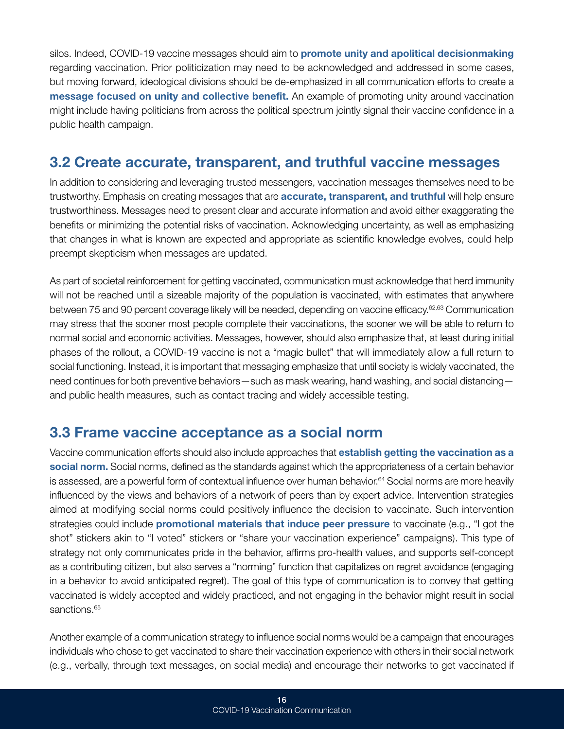<span id="page-18-0"></span>silos. Indeed, COVID-19 vaccine messages should aim to **promote unity and apolitical decisionmaking** regarding vaccination. Prior politicization may need to be acknowledged and addressed in some cases, but moving forward, ideological divisions should be de-emphasized in all communication efforts to create a message focused on unity and collective benefit. An example of promoting unity around vaccination might include having politicians from across the political spectrum jointly signal their vaccine confidence in a public health campaign.

#### 3.2 Create accurate, transparent, and truthful vaccine messages

In addition to considering and leveraging trusted messengers, vaccination messages themselves need to be trustworthy. Emphasis on creating messages that are **accurate, transparent, and truthful** will help ensure trustworthiness. Messages need to present clear and accurate information and avoid either exaggerating the benefits or minimizing the potential risks of vaccination. Acknowledging uncertainty, as well as emphasizing that changes in what is known are expected and appropriate as scientific knowledge evolves, could help preempt skepticism when messages are updated.

As part of societal reinforcement for getting vaccinated, communication must acknowledge that herd immunity will not be reached until a sizeable majority of the population is vaccinated, with estimates that anywhere between 75 and 90 percent coverage likely will be needed, depending on vaccine efficacy.62,63 Communication may stress that the sooner most people complete their vaccinations, the sooner we will be able to return to normal social and economic activities. Messages, however, should also emphasize that, at least during initial phases of the rollout, a COVID-19 vaccine is not a "magic bullet" that will immediately allow a full return to social functioning. Instead, it is important that messaging emphasize that until society is widely vaccinated, the need continues for both preventive behaviors—such as mask wearing, hand washing, and social distancing and public health measures, such as contact tracing and widely accessible testing.

#### 3.3 Frame vaccine acceptance as a social norm

Vaccine communication efforts should also include approaches that establish getting the vaccination as a social norm. Social norms, defined as the standards against which the appropriateness of a certain behavior is assessed, are a powerful form of contextual influence over human behavior.<sup>64</sup> Social norms are more heavily influenced by the views and behaviors of a network of peers than by expert advice. Intervention strategies aimed at modifying social norms could positively influence the decision to vaccinate. Such intervention strategies could include **promotional materials that induce peer pressure** to vaccinate (e.g., "I got the shot" stickers akin to "I voted" stickers or "share your vaccination experience" campaigns). This type of strategy not only communicates pride in the behavior, affirms pro-health values, and supports self-concept as a contributing citizen, but also serves a "norming" function that capitalizes on regret avoidance (engaging in a behavior to avoid anticipated regret). The goal of this type of communication is to convey that getting vaccinated is widely accepted and widely practiced, and not engaging in the behavior might result in social sanctions.<sup>65</sup>

Another example of a communication strategy to influence social norms would be a campaign that encourages individuals who chose to get vaccinated to share their vaccination experience with others in their social network (e.g., verbally, through text messages, on social media) and encourage their networks to get vaccinated if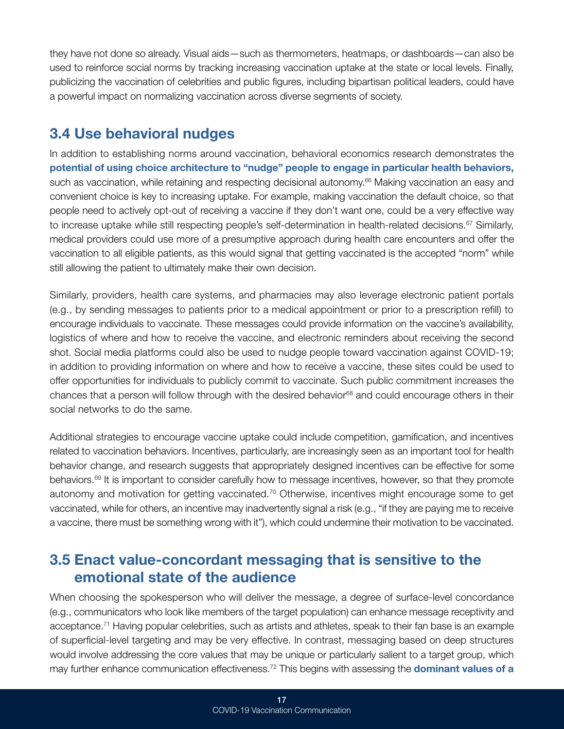<span id="page-19-0"></span>they have not done so already. Visual aids—such as thermometers, heatmaps, or dashboards—can also be used to reinforce social norms by tracking increasing vaccination uptake at the state or local levels. Finally, publicizing the vaccination of celebrities and public figures, including bipartisan political leaders, could have a powerful impact on normalizing vaccination across diverse segments of society.

#### 3.4 Use behavioral nudges

In addition to establishing norms around vaccination, behavioral economics research demonstrates the potential of using choice architecture to "nudge" people to engage in particular health behaviors, such as vaccination, while retaining and respecting decisional autonomy.<sup>66</sup> Making vaccination an easy and convenient choice is key to increasing uptake. For example, making vaccination the default choice, so that people need to actively opt-out of receiving a vaccine if they don't want one, could be a very effective way to increase uptake while still respecting people's self-determination in health-related decisions.<sup>67</sup> Similarly, medical providers could use more of a presumptive approach during health care encounters and offer the vaccination to all eligible patients, as this would signal that getting vaccinated is the accepted "norm" while still allowing the patient to ultimately make their own decision.

Similarly, providers, health care systems, and pharmacies may also leverage electronic patient portals (e.g., by sending messages to patients prior to a medical appointment or prior to a prescription refill) to encourage individuals to vaccinate. These messages could provide information on the vaccine's availability, logistics of where and how to receive the vaccine, and electronic reminders about receiving the second shot. Social media platforms could also be used to nudge people toward vaccination against COVID-19; in addition to providing information on where and how to receive a vaccine, these sites could be used to offer opportunities for individuals to publicly commit to vaccinate. Such public commitment increases the chances that a person will follow through with the desired behavior<sup>68</sup> and could encourage others in their social networks to do the same.

Additional strategies to encourage vaccine uptake could include competition, gamification, and incentives related to vaccination behaviors. Incentives, particularly, are increasingly seen as an important tool for health behavior change, and research suggests that appropriately designed incentives can be effective for some behaviors.69 It is important to consider carefully how to message incentives, however, so that they promote autonomy and motivation for getting vaccinated.70 Otherwise, incentives might encourage some to get vaccinated, while for others, an incentive may inadvertently signal a risk (e.g., "if they are paying me to receive a vaccine, there must be something wrong with it"), which could undermine their motivation to be vaccinated.

#### 3.5 Enact value-concordant messaging that is sensitive to the emotional state of the audience

When choosing the spokesperson who will deliver the message, a degree of surface-level concordance (e.g., communicators who look like members of the target population) can enhance message receptivity and acceptance.71 Having popular celebrities, such as artists and athletes, speak to their fan base is an example of superficial-level targeting and may be very effective. In contrast, messaging based on deep structures would involve addressing the core values that may be unique or particularly salient to a target group, which may further enhance communication effectiveness.<sup>72</sup> This begins with assessing the **dominant values of a**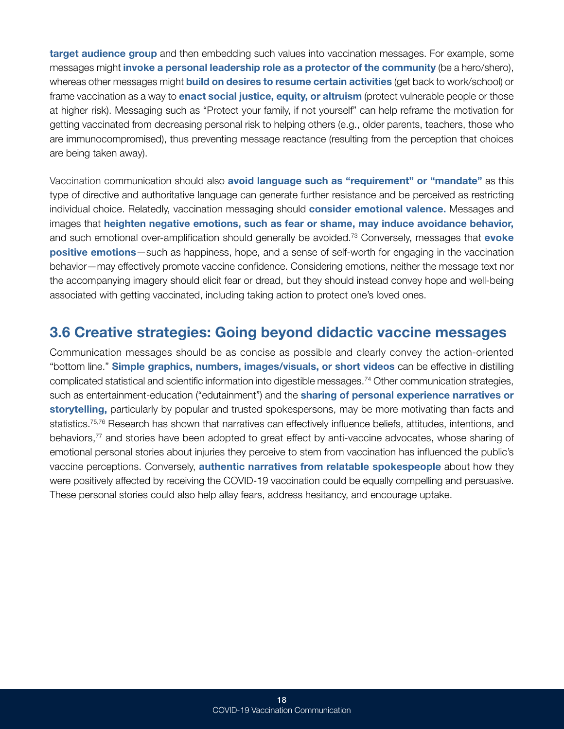<span id="page-20-0"></span>**target audience group** and then embedding such values into vaccination messages. For example, some messages might invoke a personal leadership role as a protector of the community (be a hero/shero), whereas other messages might **build on desires to resume certain activities** (get back to work/school) or frame vaccination as a way to **enact social justice, equity, or altruism** (protect vulnerable people or those at higher risk). Messaging such as "Protect your family, if not yourself" can help reframe the motivation for getting vaccinated from decreasing personal risk to helping others (e.g., older parents, teachers, those who are immunocompromised), thus preventing message reactance (resulting from the perception that choices are being taken away).

Vaccination communication should also avoid language such as "requirement" or "mandate" as this type of directive and authoritative language can generate further resistance and be perceived as restricting individual choice. Relatedly, vaccination messaging should consider emotional valence. Messages and images that heighten negative emotions, such as fear or shame, may induce avoidance behavior, and such emotional over-amplification should generally be avoided.<sup>73</sup> Conversely, messages that **evoke** positive emotions—such as happiness, hope, and a sense of self-worth for engaging in the vaccination behavior—may effectively promote vaccine confidence. Considering emotions, neither the message text nor the accompanying imagery should elicit fear or dread, but they should instead convey hope and well-being associated with getting vaccinated, including taking action to protect one's loved ones.

#### 3.6 Creative strategies: Going beyond didactic vaccine messages

Communication messages should be as concise as possible and clearly convey the action-oriented "bottom line." Simple graphics, numbers, images/visuals, or short videos can be effective in distilling complicated statistical and scientific information into digestible messages.74 Other communication strategies, such as entertainment-education ("edutainment") and the **sharing of personal experience narratives or** storytelling, particularly by popular and trusted spokespersons, may be more motivating than facts and statistics.<sup>75,76</sup> Research has shown that narratives can effectively influence beliefs, attitudes, intentions, and behaviors,<sup>77</sup> and stories have been adopted to great effect by anti-vaccine advocates, whose sharing of emotional personal stories about injuries they perceive to stem from vaccination has influenced the public's vaccine perceptions. Conversely, authentic narratives from relatable spokespeople about how they were positively affected by receiving the COVID-19 vaccination could be equally compelling and persuasive. These personal stories could also help allay fears, address hesitancy, and encourage uptake.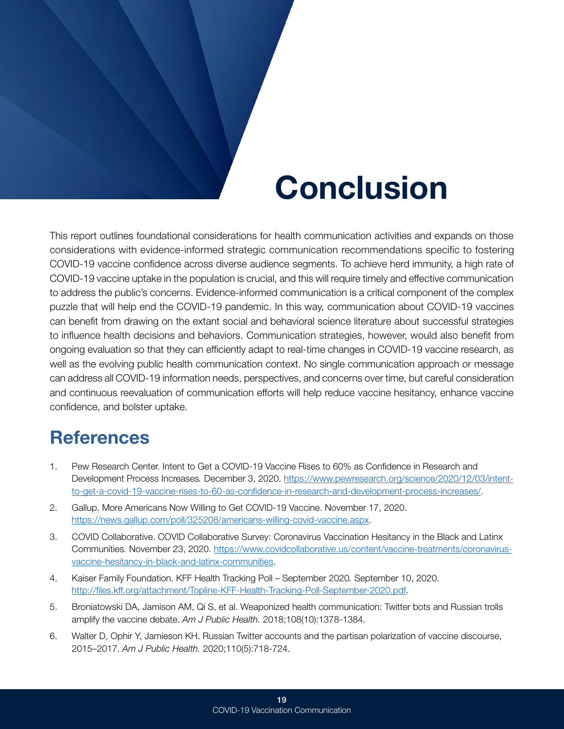# Conclusion

<span id="page-21-0"></span>This report outlines foundational considerations for health communication activities and expands on those considerations with evidence-informed strategic communication recommendations specific to fostering COVID-19 vaccine confidence across diverse audience segments. To achieve herd immunity, a high rate of COVID-19 vaccine uptake in the population is crucial, and this will require timely and effective communication to address the public's concerns. Evidence-informed communication is a critical component of the complex puzzle that will help end the COVID-19 pandemic. In this way, communication about COVID-19 vaccines can benefit from drawing on the extant social and behavioral science literature about successful strategies to influence health decisions and behaviors. Communication strategies, however, would also benefit from ongoing evaluation so that they can efficiently adapt to real-time changes in COVID-19 vaccine research, as well as the evolving public health communication context. No single communication approach or message can address all COVID-19 information needs, perspectives, and concerns over time, but careful consideration and continuous reevaluation of communication efforts will help reduce vaccine hesitancy, enhance vaccine confidence, and bolster uptake.

## **References**

- <span id="page-21-1"></span>1. Pew Research Center. Intent to Get a COVID-19 Vaccine Rises to 60% as Confidence in Research and Development Process Increases*.* December 3, 2020. [https://www.pewresearch.org/science/2020/12/03/intent](https://www.pewresearch.org/science/2020/12/03/intent-to-get-a-covid-19-vaccine-rises-to-60-as-confidence-in-research-and-development-process-increases/)[to-get-a-covid-19-vaccine-rises-to-60-as-confidence-in-research-and-development-process-increases/](https://www.pewresearch.org/science/2020/12/03/intent-to-get-a-covid-19-vaccine-rises-to-60-as-confidence-in-research-and-development-process-increases/).
- 2. Gallup. More Americans Now Willing to Get COVID-19 Vaccine. November 17, 2020. [https://news.gallup.com/poll/325208/americans-willing-covid-vaccine.aspx.](https://news.gallup.com/poll/325208/americans-willing-covid-vaccine.aspx)
- 3. COVID Collaborative. COVID Collaborative Survey: Coronavirus Vaccination Hesitancy in the Black and Latinx Communities*.* November 23, 2020. [https://www.covidcollaborative.us/content/vaccine-treatments/coronavirus](https://www.covidcollaborative.us/content/vaccine-treatments/coronavirus-vaccine-hesitancy-in-black-and-latinx-communities)[vaccine-hesitancy-in-black-and-latinx-communities.](https://www.covidcollaborative.us/content/vaccine-treatments/coronavirus-vaccine-hesitancy-in-black-and-latinx-communities)
- 4. Kaiser Family Foundation. KFF Health Tracking Poll September 2020*.* September 10, 2020. [http://files.kff.org/attachment/Topline-KFF-Health-Tracking-Poll-September-2020.pdf.](http://files.kff.org/attachment/Topline-KFF-Health-Tracking-Poll-September-2020.pdf)
- 5. Broniatowski DA, Jamison AM, Qi S, et al. Weaponized health communication: Twitter bots and Russian trolls amplify the vaccine debate. *Am J Public Health.* 2018;108(10):1378-1384.
- 6. Walter D, Ophir Y, Jamieson KH. Russian Twitter accounts and the partisan polarization of vaccine discourse, 2015–2017. *Am J Public Health.* 2020;110(5):718-724.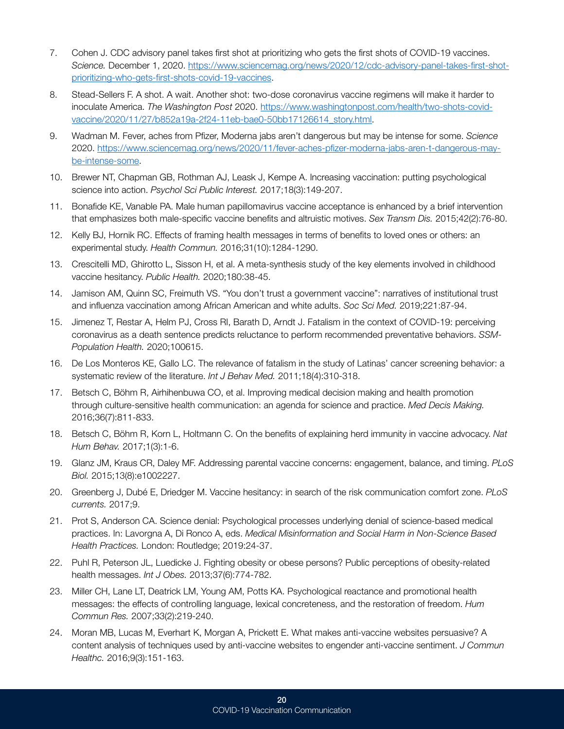- 7. Cohen J. CDC advisory panel takes first shot at prioritizing who gets the first shots of COVID-19 vaccines. *Science.* December 1, 2020. [https://www.sciencemag.org/news/2020/12/cdc-advisory-panel-takes-first-shot](https://www.sciencemag.org/news/2020/12/cdc-advisory-panel-takes-first-shot-prioritizing-who-gets-first-shots-covid-19-vaccines)[prioritizing-who-gets-first-shots-covid-19-vaccines.](https://www.sciencemag.org/news/2020/12/cdc-advisory-panel-takes-first-shot-prioritizing-who-gets-first-shots-covid-19-vaccines)
- 8. Stead-Sellers F. A shot. A wait. Another shot: two-dose coronavirus vaccine regimens will make it harder to inoculate America. *The Washington Post* 2020. [https://www.washingtonpost.com/health/two-shots-covid](https://www.washingtonpost.com/health/two-shots-covid-vaccine/2020/11/27/b852a19a-2f24-11eb-bae0-50bb17126614_story.html)[vaccine/2020/11/27/b852a19a-2f24-11eb-bae0-50bb17126614\\_story.html.](https://www.washingtonpost.com/health/two-shots-covid-vaccine/2020/11/27/b852a19a-2f24-11eb-bae0-50bb17126614_story.html)
- 9. Wadman M. Fever, aches from Pfizer, Moderna jabs aren't dangerous but may be intense for some. *Science*  2020. [https://www.sciencemag.org/news/2020/11/fever-aches-pfizer-moderna-jabs-aren-t-dangerous-may](https://www.sciencemag.org/news/2020/11/fever-aches-pfizer-moderna-jabs-aren-t-dangerous-may-be-intense-some)[be-intense-some.](https://www.sciencemag.org/news/2020/11/fever-aches-pfizer-moderna-jabs-aren-t-dangerous-may-be-intense-some)
- 10. Brewer NT, Chapman GB, Rothman AJ, Leask J, Kempe A. Increasing vaccination: putting psychological science into action. *Psychol Sci Public Interest.* 2017;18(3):149-207.
- 11. Bonafide KE, Vanable PA. Male human papillomavirus vaccine acceptance is enhanced by a brief intervention that emphasizes both male-specific vaccine benefits and altruistic motives. *Sex Transm Dis.* 2015;42(2):76-80.
- 12. Kelly BJ, Hornik RC. Effects of framing health messages in terms of benefits to loved ones or others: an experimental study. *Health Commun.* 2016;31(10):1284-1290.
- 13. Crescitelli MD, Ghirotto L, Sisson H, et al. A meta-synthesis study of the key elements involved in childhood vaccine hesitancy. *Public Health.* 2020;180:38-45.
- 14. Jamison AM, Quinn SC, Freimuth VS. "You don't trust a government vaccine": narratives of institutional trust and influenza vaccination among African American and white adults. *Soc Sci Med.* 2019;221:87-94.
- 15. Jimenez T, Restar A, Helm PJ, Cross RI, Barath D, Arndt J. Fatalism in the context of COVID-19: perceiving coronavirus as a death sentence predicts reluctance to perform recommended preventative behaviors. *SSM-Population Health.* 2020;100615.
- 16. De Los Monteros KE, Gallo LC. The relevance of fatalism in the study of Latinas' cancer screening behavior: a systematic review of the literature. *Int J Behav Med.* 2011;18(4):310-318.
- 17. Betsch C, Böhm R, Airhihenbuwa CO, et al. Improving medical decision making and health promotion through culture-sensitive health communication: an agenda for science and practice. *Med Decis Making.*  2016;36(7):811-833.
- 18. Betsch C, Böhm R, Korn L, Holtmann C. On the benefits of explaining herd immunity in vaccine advocacy. *Nat Hum Behav.* 2017;1(3):1-6.
- 19. Glanz JM, Kraus CR, Daley MF. Addressing parental vaccine concerns: engagement, balance, and timing. *PLoS Biol.* 2015;13(8):e1002227.
- 20. Greenberg J, Dubé E, Driedger M. Vaccine hesitancy: in search of the risk communication comfort zone. *PLoS currents.* 2017;9.
- 21. Prot S, Anderson CA. Science denial: Psychological processes underlying denial of science-based medical practices. In: Lavorgna A, Di Ronco A, eds. *Medical Misinformation and Social Harm in Non-Science Based Health Practices.* London: Routledge; 2019:24-37.
- 22. Puhl R, Peterson JL, Luedicke J. Fighting obesity or obese persons? Public perceptions of obesity-related health messages. *Int J Obes.* 2013;37(6):774-782.
- 23. Miller CH, Lane LT, Deatrick LM, Young AM, Potts KA. Psychological reactance and promotional health messages: the effects of controlling language, lexical concreteness, and the restoration of freedom. *Hum Commun Res.* 2007;33(2):219-240.
- 24. Moran MB, Lucas M, Everhart K, Morgan A, Prickett E. What makes anti-vaccine websites persuasive? A content analysis of techniques used by anti-vaccine websites to engender anti-vaccine sentiment. *J Commun Healthc.* 2016;9(3):151-163.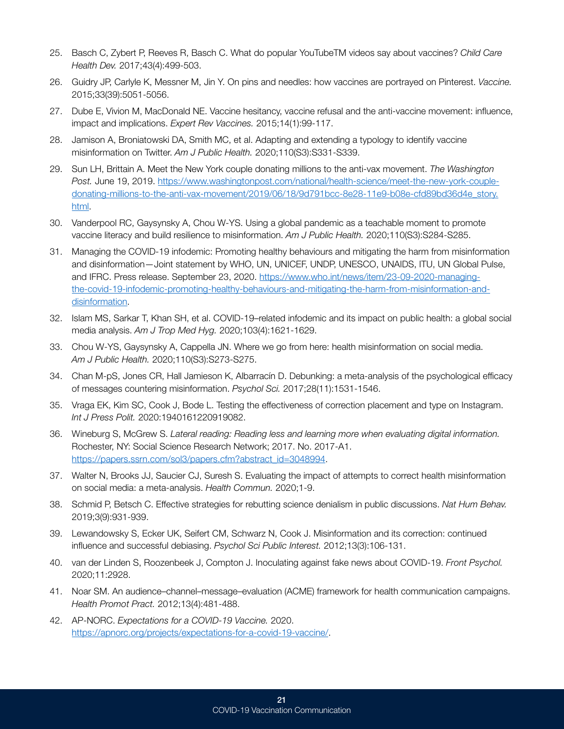- 25. Basch C, Zybert P, Reeves R, Basch C. What do popular YouTubeTM videos say about vaccines? *Child Care Health Dev.* 2017;43(4):499-503.
- 26. Guidry JP, Carlyle K, Messner M, Jin Y. On pins and needles: how vaccines are portrayed on Pinterest. *Vaccine.*  2015;33(39):5051-5056.
- 27. Dube E, Vivion M, MacDonald NE. Vaccine hesitancy, vaccine refusal and the anti-vaccine movement: influence, impact and implications. *Expert Rev Vaccines.* 2015;14(1):99-117.
- 28. Jamison A, Broniatowski DA, Smith MC, et al. Adapting and extending a typology to identify vaccine misinformation on Twitter. *Am J Public Health.* 2020;110(S3):S331-S339.
- 29. Sun LH, Brittain A. Meet the New York couple donating millions to the anti-vax movement. *The Washington Post.* June 19, 2019. [https://www.washingtonpost.com/national/health-science/meet-the-new-york-couple](https://www.washingtonpost.com/national/health-science/meet-the-new-york-couple-donating-millions-to-the-anti-vax-movement/2019/06/18/9d791bcc-8e28-11e9-b08e-cfd89bd36d4e_story.html)[donating-millions-to-the-anti-vax-movement/2019/06/18/9d791bcc-8e28-11e9-b08e-cfd89bd36d4e\\_story.](https://www.washingtonpost.com/national/health-science/meet-the-new-york-couple-donating-millions-to-the-anti-vax-movement/2019/06/18/9d791bcc-8e28-11e9-b08e-cfd89bd36d4e_story.html) [html.](https://www.washingtonpost.com/national/health-science/meet-the-new-york-couple-donating-millions-to-the-anti-vax-movement/2019/06/18/9d791bcc-8e28-11e9-b08e-cfd89bd36d4e_story.html)
- 30. Vanderpool RC, Gaysynsky A, Chou W-YS. Using a global pandemic as a teachable moment to promote vaccine literacy and build resilience to misinformation. *Am J Public Health.* 2020;110(S3):S284-S285.
- 31. Managing the COVID-19 infodemic: Promoting healthy behaviours and mitigating the harm from misinformation and disinformation—Joint statement by WHO, UN, UNICEF, UNDP, UNESCO, UNAIDS, ITU, UN Global Pulse, and IFRC. Press release. September 23, 2020. [https://www.who.int/news/item/23-09-2020-managing](https://www.who.int/news/item/23-09-2020-managing-the-covid-19-infodemic-promoting-healthy-behaviours-and-mitigating-the-harm-from-misinformation-and-disinformation)[the-covid-19-infodemic-promoting-healthy-behaviours-and-mitigating-the-harm-from-misinformation-and](https://www.who.int/news/item/23-09-2020-managing-the-covid-19-infodemic-promoting-healthy-behaviours-and-mitigating-the-harm-from-misinformation-and-disinformation)[disinformation](https://www.who.int/news/item/23-09-2020-managing-the-covid-19-infodemic-promoting-healthy-behaviours-and-mitigating-the-harm-from-misinformation-and-disinformation).
- 32. Islam MS, Sarkar T, Khan SH, et al. COVID-19–related infodemic and its impact on public health: a global social media analysis. *Am J Trop Med Hyg.* 2020;103(4):1621-1629.
- 33. Chou W-YS, Gaysynsky A, Cappella JN. Where we go from here: health misinformation on social media. *Am J Public Health.* 2020;110(S3):S273-S275.
- 34. Chan M-pS, Jones CR, Hall Jamieson K, Albarracín D. Debunking: a meta-analysis of the psychological efficacy of messages countering misinformation. *Psychol Sci.* 2017;28(11):1531-1546.
- 35. Vraga EK, Kim SC, Cook J, Bode L. Testing the effectiveness of correction placement and type on Instagram. *Int J Press Polit.* 2020:1940161220919082.
- 36. Wineburg S, McGrew S. *Lateral reading: Reading less and learning more when evaluating digital information.*  Rochester, NY: Social Science Research Network; 2017. No. 2017-A1. [https://papers.ssrn.com/sol3/papers.cfm?abstract\\_id=3048994](https://papers.ssrn.com/sol3/papers.cfm?abstract_id=3048994).
- 37. Walter N, Brooks JJ, Saucier CJ, Suresh S. Evaluating the impact of attempts to correct health misinformation on social media: a meta-analysis. *Health Commun.* 2020;1-9.
- 38. Schmid P, Betsch C. Effective strategies for rebutting science denialism in public discussions. *Nat Hum Behav.*  2019;3(9):931-939.
- 39. Lewandowsky S, Ecker UK, Seifert CM, Schwarz N, Cook J. Misinformation and its correction: continued influence and successful debiasing. *Psychol Sci Public Interest.* 2012;13(3):106-131.
- 40. van der Linden S, Roozenbeek J, Compton J. Inoculating against fake news about COVID-19. *Front Psychol.*  2020;11:2928.
- 41. Noar SM. An audience–channel–message–evaluation (ACME) framework for health communication campaigns. *Health Promot Pract.* 2012;13(4):481-488.
- 42. AP-NORC. *Expectations for a COVID-19 Vaccine.* 2020. [https://apnorc.org/projects/expectations-for-a-covid-19-vaccine/.](https://apnorc.org/projects/expectations-for-a-covid-19-vaccine/)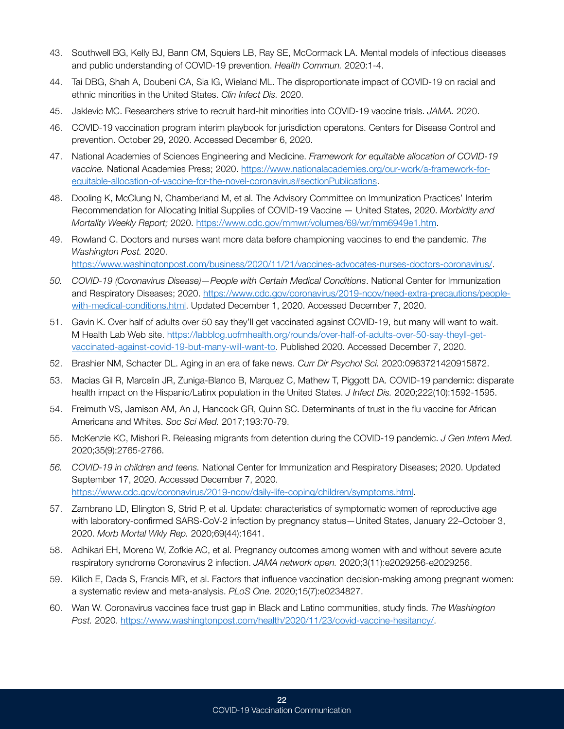- 43. Southwell BG, Kelly BJ, Bann CM, Squiers LB, Ray SE, McCormack LA. Mental models of infectious diseases and public understanding of COVID-19 prevention. *Health Commun.* 2020:1-4.
- 44. Tai DBG, Shah A, Doubeni CA, Sia IG, Wieland ML. The disproportionate impact of COVID-19 on racial and ethnic minorities in the United States. *Clin Infect Dis.* 2020.
- 45. Jaklevic MC. Researchers strive to recruit hard-hit minorities into COVID-19 vaccine trials. *JAMA.* 2020.
- 46. COVID-19 vaccination program interim playbook for jurisdiction operatons. Centers for Disease Control and prevention. October 29, 2020. Accessed December 6, 2020.
- 47. National Academies of Sciences Engineering and Medicine. *Framework for equitable allocation of COVID-19 vaccine.* National Academies Press; 2020. [https://www.nationalacademies.org/our-work/a-framework-for](https://www.nationalacademies.org/our-work/a-framework-for-equitable-allocation-of-vaccine-for-the-novel-coronavirus#sectionPublications)[equitable-allocation-of-vaccine-for-the-novel-coronavirus#sectionPublications](https://www.nationalacademies.org/our-work/a-framework-for-equitable-allocation-of-vaccine-for-the-novel-coronavirus#sectionPublications).
- 48. Dooling K, McClung N, Chamberland M, et al. The Advisory Committee on Immunization Practices' Interim Recommendation for Allocating Initial Supplies of COVID-19 Vaccine — United States, 2020. *Morbidity and Mortality Weekly Report;* 2020. [https://www.cdc.gov/mmwr/volumes/69/wr/mm6949e1.htm.](https://www.cdc.gov/mmwr/volumes/69/wr/mm6949e1.htm)
- 49. Rowland C. Doctors and nurses want more data before championing vaccines to end the pandemic. *The Washington Post.* 2020.

[https://www.washingtonpost.com/business/2020/11/21/vaccines-advocates-nurses-doctors-coronavirus/.](https://www.washingtonpost.com/business/2020/11/21/vaccines-advocates-nurses-doctors-coronavirus/)

- *50. COVID-19 (Coronavirus Disease)—People with Certain Medical Conditions*. National Center for Immunization and Respiratory Diseases; 2020. [https://www.cdc.gov/coronavirus/2019-ncov/need-extra-precautions/people](https://www.cdc.gov/coronavirus/2019-ncov/need-extra-precautions/people-with-medical-conditions.html)[with-medical-conditions.html.](https://www.cdc.gov/coronavirus/2019-ncov/need-extra-precautions/people-with-medical-conditions.html) Updated December 1, 2020. Accessed December 7, 2020.
- 51. Gavin K. Over half of adults over 50 say they'll get vaccinated against COVID-19, but many will want to wait. M Health Lab Web site. [https://labblog.uofmhealth.org/rounds/over-half-of-adults-over-50-say-theyll-get](https://labblog.uofmhealth.org/rounds/over-half-of-adults-over-50-say-theyll-get-vaccinated-against-covid-19-but-many-will-want-to)[vaccinated-against-covid-19-but-many-will-want-to](https://labblog.uofmhealth.org/rounds/over-half-of-adults-over-50-say-theyll-get-vaccinated-against-covid-19-but-many-will-want-to). Published 2020. Accessed December 7, 2020.
- 52. Brashier NM, Schacter DL. Aging in an era of fake news. *Curr Dir Psychol Sci.* 2020:0963721420915872.
- 53. Macias Gil R, Marcelin JR, Zuniga-Blanco B, Marquez C, Mathew T, Piggott DA. COVID-19 pandemic: disparate health impact on the Hispanic/Latinx population in the United States. *J Infect Dis.* 2020;222(10):1592-1595.
- 54. Freimuth VS, Jamison AM, An J, Hancock GR, Quinn SC. Determinants of trust in the flu vaccine for African Americans and Whites. *Soc Sci Med.* 2017;193:70-79.
- 55. McKenzie KC, Mishori R. Releasing migrants from detention during the COVID-19 pandemic. *J Gen Intern Med.*  2020;35(9):2765-2766.
- *56. COVID-19 in children and teens.* National Center for Immunization and Respiratory Diseases; 2020. Updated September 17, 2020. Accessed December 7, 2020. [https://www.cdc.gov/coronavirus/2019-ncov/daily-life-coping/children/symptoms.html.](https://www.cdc.gov/coronavirus/2019-ncov/daily-life-coping/children/symptoms.html)
- 57. Zambrano LD, Ellington S, Strid P, et al. Update: characteristics of symptomatic women of reproductive age with laboratory-confirmed SARS-CoV-2 infection by pregnancy status—United States, January 22–October 3, 2020. *Morb Mortal Wkly Rep.* 2020;69(44):1641.
- 58. Adhikari EH, Moreno W, Zofkie AC, et al. Pregnancy outcomes among women with and without severe acute respiratory syndrome Coronavirus 2 infection. *JAMA network open.* 2020;3(11):e2029256-e2029256.
- 59. Kilich E, Dada S, Francis MR, et al. Factors that influence vaccination decision-making among pregnant women: a systematic review and meta-analysis. *PLoS One.* 2020;15(7):e0234827.
- 60. Wan W. Coronavirus vaccines face trust gap in Black and Latino communities, study finds. *The Washington Post.* 2020. <https://www.washingtonpost.com/health/2020/11/23/covid-vaccine-hesitancy/>.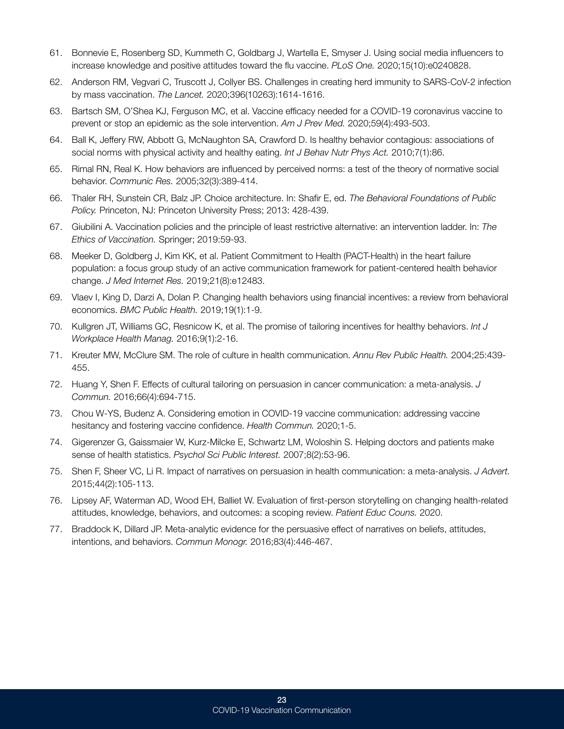- 61. Bonnevie E, Rosenberg SD, Kummeth C, Goldbarg J, Wartella E, Smyser J. Using social media influencers to increase knowledge and positive attitudes toward the flu vaccine. *PLoS One.* 2020;15(10):e0240828.
- 62. Anderson RM, Vegvari C, Truscott J, Collyer BS. Challenges in creating herd immunity to SARS-CoV-2 infection by mass vaccination. *The Lancet.* 2020;396(10263):1614-1616.
- 63. Bartsch SM, O'Shea KJ, Ferguson MC, et al. Vaccine efficacy needed for a COVID-19 coronavirus vaccine to prevent or stop an epidemic as the sole intervention. *Am J Prev Med.* 2020;59(4):493-503.
- 64. Ball K, Jeffery RW, Abbott G, McNaughton SA, Crawford D. Is healthy behavior contagious: associations of social norms with physical activity and healthy eating. *Int J Behav Nutr Phys Act.* 2010;7(1):86.
- 65. Rimal RN, Real K. How behaviors are influenced by perceived norms: a test of the theory of normative social behavior. *Communic Res.* 2005;32(3):389-414.
- 66. Thaler RH, Sunstein CR, Balz JP. Choice architecture. In: Shafir E, ed. *The Behavioral Foundations of Public Policy.* Princeton, NJ: Princeton University Press; 2013: 428-439.
- 67. Giubilini A. Vaccination policies and the principle of least restrictive alternative: an intervention ladder. In: The Ethics of Vaccination. Springer; 2019:59-93.
- 68. Meeker D, Goldberg J, Kim KK, et al. Patient Commitment to Health (PACT-Health) in the heart failure population: a focus group study of an active communication framework for patient-centered health behavior change. *J Med Internet Res.* 2019;21(8):e12483.
- 69. Vlaev I, King D, Darzi A, Dolan P. Changing health behaviors using financial incentives: a review from behavioral economics. *BMC Public Health.* 2019;19(1):1-9.
- 70. Kullgren JT, Williams GC, Resnicow K, et al. The promise of tailoring incentives for healthy behaviors. *Int J Workplace Health Manag.* 2016;9(1):2-16.
- 71. Kreuter MW, McClure SM. The role of culture in health communication. *Annu Rev Public Health.* 2004;25:439- 455.
- 72. Huang Y, Shen F. Effects of cultural tailoring on persuasion in cancer communication: a meta-analysis. *J Commun.* 2016;66(4):694-715.
- 73. Chou W-YS, Budenz A. Considering emotion in COVID-19 vaccine communication: addressing vaccine hesitancy and fostering vaccine confidence. *Health Commun.* 2020;1-5.
- 74. Gigerenzer G, Gaissmaier W, Kurz-Milcke E, Schwartz LM, Woloshin S. Helping doctors and patients make sense of health statistics. *Psychol Sci Public Interest.* 2007;8(2):53-96.
- 75. Shen F, Sheer VC, Li R. Impact of narratives on persuasion in health communication: a meta-analysis. *J Advert.*  2015;44(2):105-113.
- 76. Lipsey AF, Waterman AD, Wood EH, Balliet W. Evaluation of first-person storytelling on changing health-related attitudes, knowledge, behaviors, and outcomes: a scoping review. *Patient Educ Couns.* 2020.
- 77. Braddock K, Dillard JP. Meta-analytic evidence for the persuasive effect of narratives on beliefs, attitudes, intentions, and behaviors. *Commun Monogr.* 2016;83(4):446-467.